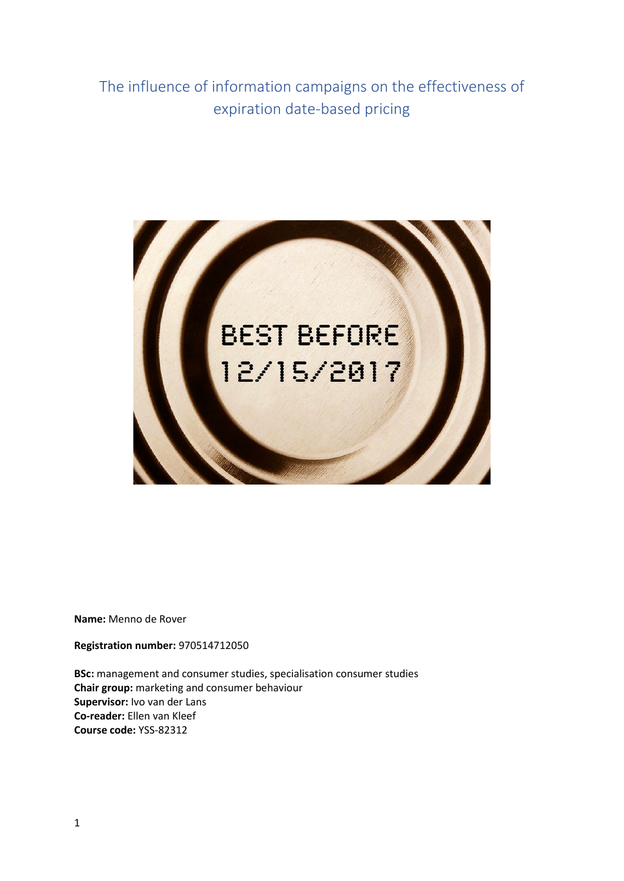The influence of information campaigns on the effectiveness of expiration date-based pricing



**Name:** Menno de Rover

**Registration number:** 970514712050

**BSc:** management and consumer studies, specialisation consumer studies **Chair group:** marketing and consumer behaviour **Supervisor:** Ivo van der Lans **Co-reader:** Ellen van Kleef **Course code:** YSS-82312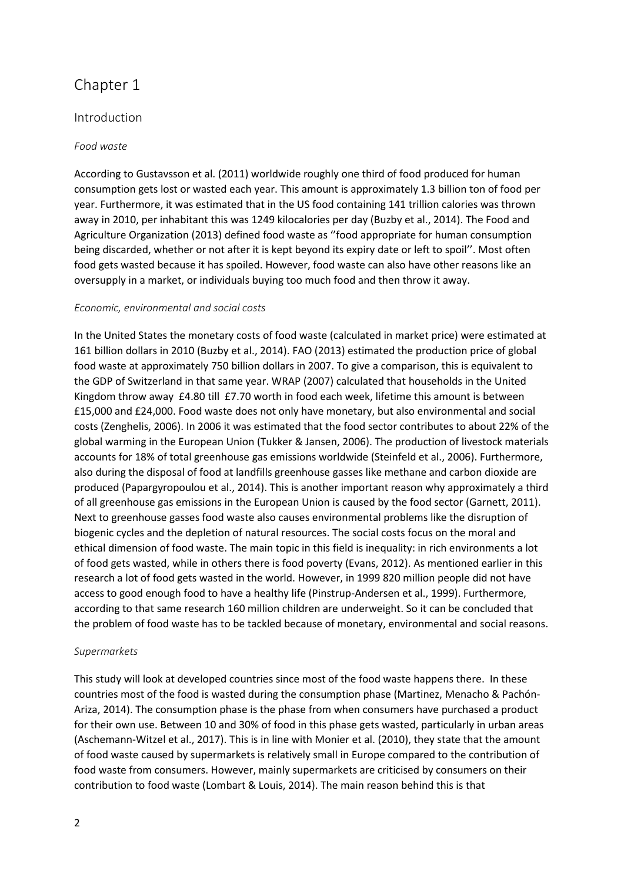# Chapter 1

# Introduction

# *Food waste*

According to Gustavsson et al. (2011) worldwide roughly one third of food produced for human consumption gets lost or wasted each year. This amount is approximately 1.3 billion ton of food per year. Furthermore, it was estimated that in the US food containing 141 trillion calories was thrown away in 2010, per inhabitant this was 1249 kilocalories per day (Buzby et al., 2014). The Food and Agriculture Organization (2013) defined food waste as ''food appropriate for human consumption being discarded, whether or not after it is kept beyond its expiry date or left to spoil''. Most often food gets wasted because it has spoiled. However, food waste can also have other reasons like an oversupply in a market, or individuals buying too much food and then throw it away.

### *Economic, environmental and social costs*

In the United States the monetary costs of food waste (calculated in market price) were estimated at 161 billion dollars in 2010 (Buzby et al., 2014). FAO (2013) estimated the production price of global food waste at approximately 750 billion dollars in 2007. To give a comparison, this is equivalent to the GDP of Switzerland in that same year. WRAP (2007) calculated that households in the United Kingdom throw away £4.80 till £7.70 worth in food each week, lifetime this amount is between £15,000 and £24,000. Food waste does not only have monetary, but also environmental and social costs (Zenghelis, 2006). In 2006 it was estimated that the food sector contributes to about 22% of the global warming in the European Union (Tukker & Jansen, 2006). The production of livestock materials accounts for 18% of total greenhouse gas emissions worldwide (Steinfeld et al., 2006). Furthermore, also during the disposal of food at landfills greenhouse gasses like methane and carbon dioxide are produced (Papargyropoulou et al., 2014). This is another important reason why approximately a third of all greenhouse gas emissions in the European Union is caused by the food sector (Garnett, 2011). Next to greenhouse gasses food waste also causes environmental problems like the disruption of biogenic cycles and the depletion of natural resources. The social costs focus on the moral and ethical dimension of food waste. The main topic in this field is inequality: in rich environments a lot of food gets wasted, while in others there is food poverty (Evans, 2012). As mentioned earlier in this research a lot of food gets wasted in the world. However, in 1999 820 million people did not have access to good enough food to have a healthy life (Pinstrup-Andersen et al., 1999). Furthermore, according to that same research 160 million children are underweight. So it can be concluded that the problem of food waste has to be tackled because of monetary, environmental and social reasons.

# *Supermarkets*

This study will look at developed countries since most of the food waste happens there. In these countries most of the food is wasted during the consumption phase (Martinez, Menacho & Pachón-Ariza, 2014). The consumption phase is the phase from when consumers have purchased a product for their own use. Between 10 and 30% of food in this phase gets wasted, particularly in urban areas (Aschemann-Witzel et al., 2017). This is in line with Monier et al. (2010), they state that the amount of food waste caused by supermarkets is relatively small in Europe compared to the contribution of food waste from consumers. However, mainly supermarkets are criticised by consumers on their contribution to food waste (Lombart & Louis, 2014). The main reason behind this is that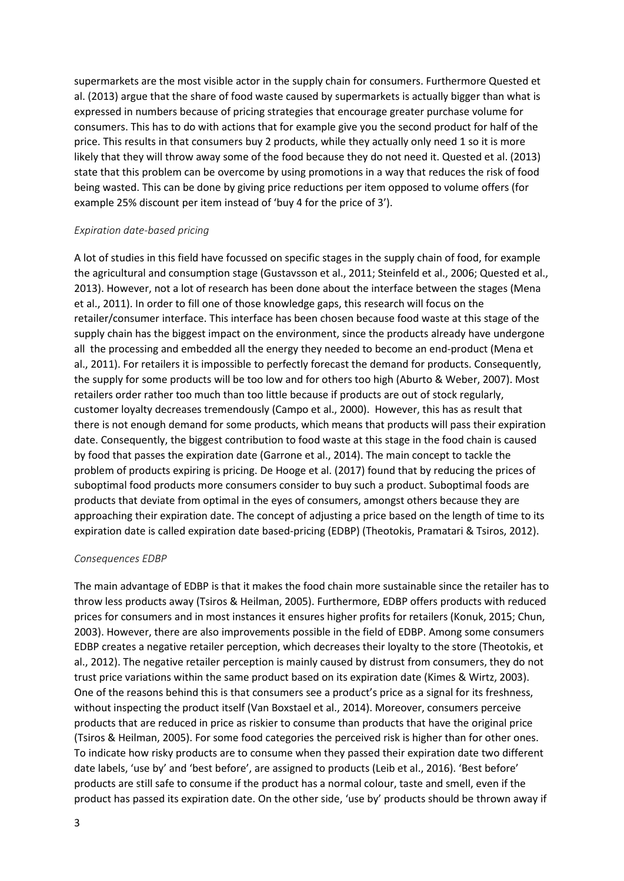supermarkets are the most visible actor in the supply chain for consumers. Furthermore Quested et al. (2013) argue that the share of food waste caused by supermarkets is actually bigger than what is expressed in numbers because of pricing strategies that encourage greater purchase volume for consumers. This has to do with actions that for example give you the second product for half of the price. This results in that consumers buy 2 products, while they actually only need 1 so it is more likely that they will throw away some of the food because they do not need it. Quested et al. (2013) state that this problem can be overcome by using promotions in a way that reduces the risk of food being wasted. This can be done by giving price reductions per item opposed to volume offers (for example 25% discount per item instead of 'buy 4 for the price of 3').

#### *Expiration date-based pricing*

A lot of studies in this field have focussed on specific stages in the supply chain of food, for example the agricultural and consumption stage (Gustavsson et al., 2011; Steinfeld et al., 2006; Quested et al., 2013). However, not a lot of research has been done about the interface between the stages (Mena et al., 2011). In order to fill one of those knowledge gaps, this research will focus on the retailer/consumer interface. This interface has been chosen because food waste at this stage of the supply chain has the biggest impact on the environment, since the products already have undergone all the processing and embedded all the energy they needed to become an end-product (Mena et al., 2011). For retailers it is impossible to perfectly forecast the demand for products. Consequently, the supply for some products will be too low and for others too high (Aburto & Weber, 2007). Most retailers order rather too much than too little because if products are out of stock regularly, customer loyalty decreases tremendously (Campo et al., 2000). However, this has as result that there is not enough demand for some products, which means that products will pass their expiration date. Consequently, the biggest contribution to food waste at this stage in the food chain is caused by food that passes the expiration date (Garrone et al., 2014). The main concept to tackle the problem of products expiring is pricing. De Hooge et al. (2017) found that by reducing the prices of suboptimal food products more consumers consider to buy such a product. Suboptimal foods are products that deviate from optimal in the eyes of consumers, amongst others because they are approaching their expiration date. The concept of adjusting a price based on the length of time to its expiration date is called expiration date based-pricing (EDBP) (Theotokis, Pramatari & Tsiros, 2012).

#### *Consequences EDBP*

The main advantage of EDBP is that it makes the food chain more sustainable since the retailer has to throw less products away (Tsiros & Heilman, 2005). Furthermore, EDBP offers products with reduced prices for consumers and in most instances it ensures higher profits for retailers (Konuk, 2015; Chun, 2003). However, there are also improvements possible in the field of EDBP. Among some consumers EDBP creates a negative retailer perception, which decreases their loyalty to the store (Theotokis, et al., 2012). The negative retailer perception is mainly caused by distrust from consumers, they do not trust price variations within the same product based on its expiration date (Kimes & Wirtz, 2003). One of the reasons behind this is that consumers see a product's price as a signal for its freshness, without inspecting the product itself (Van Boxstael et al., 2014). Moreover, consumers perceive products that are reduced in price as riskier to consume than products that have the original price (Tsiros & Heilman, 2005). For some food categories the perceived risk is higher than for other ones. To indicate how risky products are to consume when they passed their expiration date two different date labels, 'use by' and 'best before', are assigned to products (Leib et al., 2016). 'Best before' products are still safe to consume if the product has a normal colour, taste and smell, even if the product has passed its expiration date. On the other side, 'use by' products should be thrown away if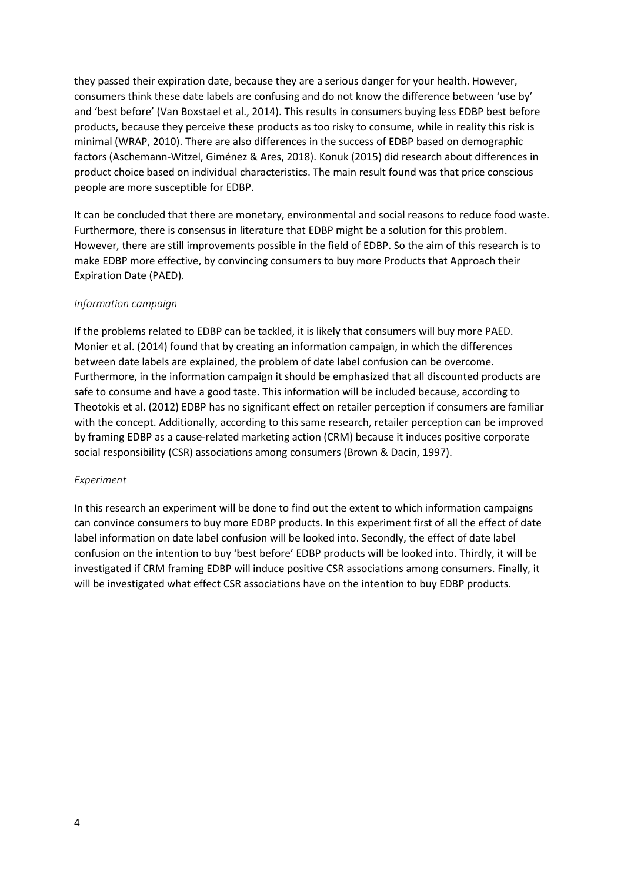they passed their expiration date, because they are a serious danger for your health. However, consumers think these date labels are confusing and do not know the difference between 'use by' and 'best before' (Van Boxstael et al., 2014). This results in consumers buying less EDBP best before products, because they perceive these products as too risky to consume, while in reality this risk is minimal (WRAP, 2010). There are also differences in the success of EDBP based on demographic factors (Aschemann-Witzel, Giménez & Ares, 2018). Konuk (2015) did research about differences in product choice based on individual characteristics. The main result found was that price conscious people are more susceptible for EDBP.

It can be concluded that there are monetary, environmental and social reasons to reduce food waste. Furthermore, there is consensus in literature that EDBP might be a solution for this problem. However, there are still improvements possible in the field of EDBP. So the aim of this research is to make EDBP more effective, by convincing consumers to buy more Products that Approach their Expiration Date (PAED).

### *Information campaign*

If the problems related to EDBP can be tackled, it is likely that consumers will buy more PAED. Monier et al. (2014) found that by creating an information campaign, in which the differences between date labels are explained, the problem of date label confusion can be overcome. Furthermore, in the information campaign it should be emphasized that all discounted products are safe to consume and have a good taste. This information will be included because, according to Theotokis et al. (2012) EDBP has no significant effect on retailer perception if consumers are familiar with the concept. Additionally, according to this same research, retailer perception can be improved by framing EDBP as a cause-related marketing action (CRM) because it induces positive corporate social responsibility (CSR) associations among consumers (Brown & Dacin, 1997).

#### *Experiment*

In this research an experiment will be done to find out the extent to which information campaigns can convince consumers to buy more EDBP products. In this experiment first of all the effect of date label information on date label confusion will be looked into. Secondly, the effect of date label confusion on the intention to buy 'best before' EDBP products will be looked into. Thirdly, it will be investigated if CRM framing EDBP will induce positive CSR associations among consumers. Finally, it will be investigated what effect CSR associations have on the intention to buy EDBP products.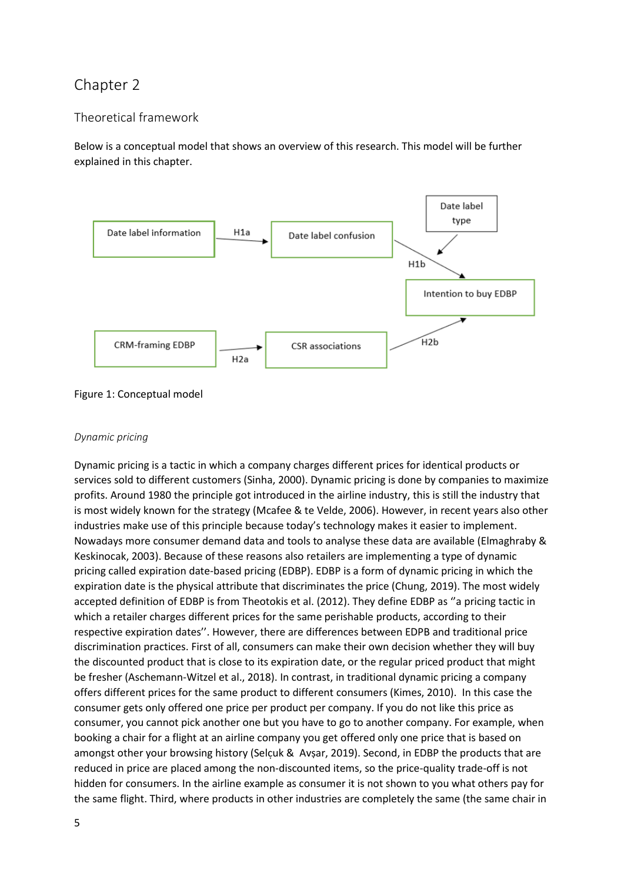# Chapter 2

# Theoretical framework

Below is a conceptual model that shows an overview of this research. This model will be further explained in this chapter.



Figure 1: Conceptual model

## *Dynamic pricing*

Dynamic pricing is a tactic in which a company charges different prices for identical products or services sold to different customers (Sinha, 2000). Dynamic pricing is done by companies to maximize profits. Around 1980 the principle got introduced in the airline industry, this is still the industry that is most widely known for the strategy (Mcafee & te Velde, 2006). However, in recent years also other industries make use of this principle because today's technology makes it easier to implement. Nowadays more consumer demand data and tools to analyse these data are available (Elmaghraby & Keskinocak, 2003). Because of these reasons also retailers are implementing a type of dynamic pricing called expiration date-based pricing (EDBP). EDBP is a form of dynamic pricing in which the expiration date is the physical attribute that discriminates the price (Chung, 2019). The most widely accepted definition of EDBP is from Theotokis et al. (2012). They define EDBP as ''a pricing tactic in which a retailer charges different prices for the same perishable products, according to their respective expiration dates''. However, there are differences between EDPB and traditional price discrimination practices. First of all, consumers can make their own decision whether they will buy the discounted product that is close to its expiration date, or the regular priced product that might be fresher (Aschemann-Witzel et al., 2018). In contrast, in traditional dynamic pricing a company offers different prices for the same product to different consumers (Kimes, 2010). In this case the consumer gets only offered one price per product per company. If you do not like this price as consumer, you cannot pick another one but you have to go to another company. For example, when booking a chair for a flight at an airline company you get offered only one price that is based on amongst other your browsing history (Selcuk & Avsar, 2019). Second, in EDBP the products that are reduced in price are placed among the non-discounted items, so the price-quality trade-off is not hidden for consumers. In the airline example as consumer it is not shown to you what others pay for the same flight. Third, where products in other industries are completely the same (the same chair in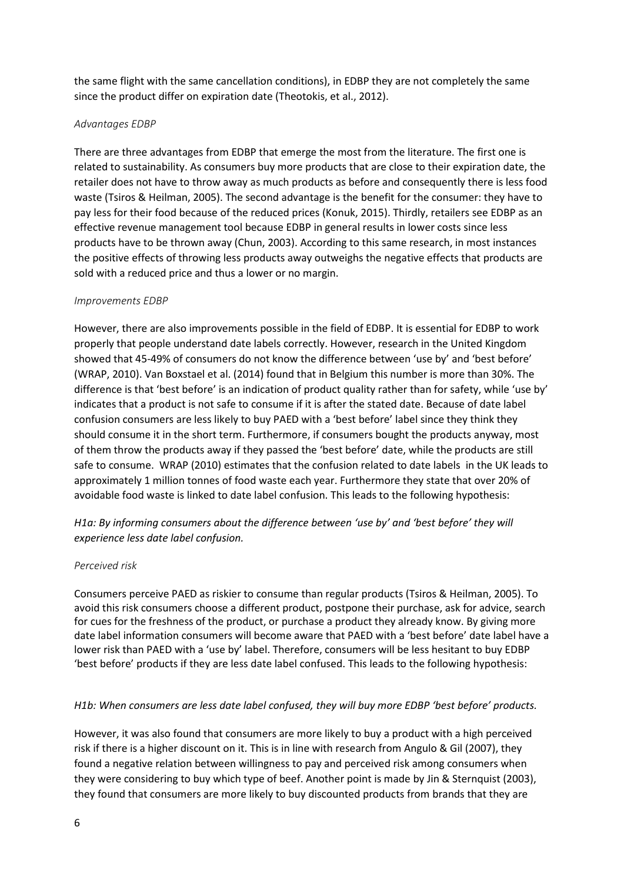the same flight with the same cancellation conditions), in EDBP they are not completely the same since the product differ on expiration date (Theotokis, et al., 2012).

# *Advantages EDBP*

There are three advantages from EDBP that emerge the most from the literature. The first one is related to sustainability. As consumers buy more products that are close to their expiration date, the retailer does not have to throw away as much products as before and consequently there is less food waste (Tsiros & Heilman, 2005). The second advantage is the benefit for the consumer: they have to pay less for their food because of the reduced prices (Konuk, 2015). Thirdly, retailers see EDBP as an effective revenue management tool because EDBP in general results in lower costs since less products have to be thrown away (Chun, 2003). According to this same research, in most instances the positive effects of throwing less products away outweighs the negative effects that products are sold with a reduced price and thus a lower or no margin.

### *Improvements EDBP*

However, there are also improvements possible in the field of EDBP. It is essential for EDBP to work properly that people understand date labels correctly. However, research in the United Kingdom showed that 45-49% of consumers do not know the difference between 'use by' and 'best before' (WRAP, 2010). Van Boxstael et al. (2014) found that in Belgium this number is more than 30%. The difference is that 'best before' is an indication of product quality rather than for safety, while 'use by' indicates that a product is not safe to consume if it is after the stated date. Because of date label confusion consumers are less likely to buy PAED with a 'best before' label since they think they should consume it in the short term. Furthermore, if consumers bought the products anyway, most of them throw the products away if they passed the 'best before' date, while the products are still safe to consume. WRAP (2010) estimates that the confusion related to date labels in the UK leads to approximately 1 million tonnes of food waste each year. Furthermore they state that over 20% of avoidable food waste is linked to date label confusion. This leads to the following hypothesis:

*H1a: By informing consumers about the difference between 'use by' and 'best before' they will experience less date label confusion.*

#### *Perceived risk*

Consumers perceive PAED as riskier to consume than regular products (Tsiros & Heilman, 2005). To avoid this risk consumers choose a different product, postpone their purchase, ask for advice, search for cues for the freshness of the product, or purchase a product they already know. By giving more date label information consumers will become aware that PAED with a 'best before' date label have a lower risk than PAED with a 'use by' label. Therefore, consumers will be less hesitant to buy EDBP 'best before' products if they are less date label confused. This leads to the following hypothesis:

# *H1b: When consumers are less date label confused, they will buy more EDBP 'best before' products.*

However, it was also found that consumers are more likely to buy a product with a high perceived risk if there is a higher discount on it. This is in line with research from Angulo & Gil (2007), they found a negative relation between willingness to pay and perceived risk among consumers when they were considering to buy which type of beef. Another point is made by Jin & Sternquist (2003), they found that consumers are more likely to buy discounted products from brands that they are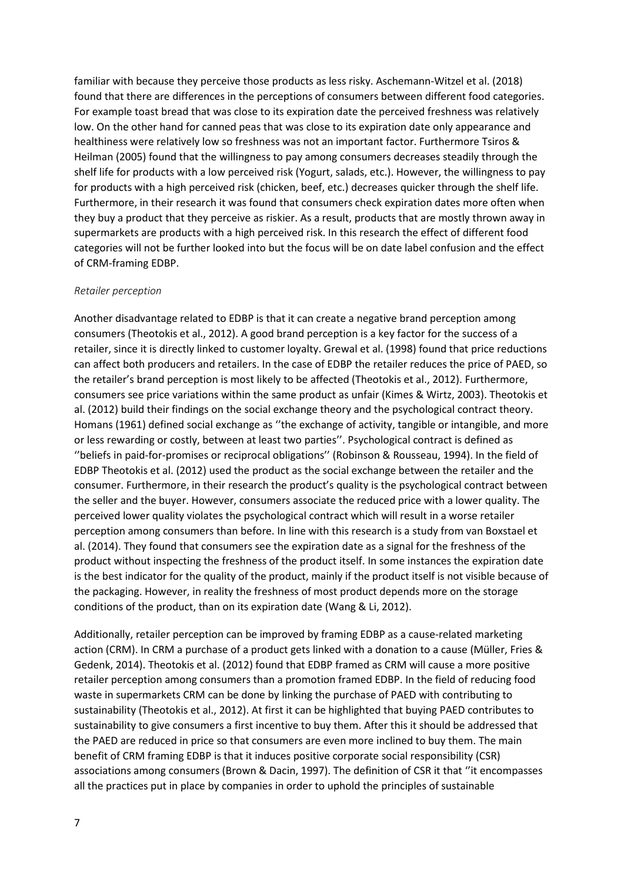familiar with because they perceive those products as less risky. Aschemann-Witzel et al. (2018) found that there are differences in the perceptions of consumers between different food categories. For example toast bread that was close to its expiration date the perceived freshness was relatively low. On the other hand for canned peas that was close to its expiration date only appearance and healthiness were relatively low so freshness was not an important factor. Furthermore Tsiros & Heilman (2005) found that the willingness to pay among consumers decreases steadily through the shelf life for products with a low perceived risk (Yogurt, salads, etc.). However, the willingness to pay for products with a high perceived risk (chicken, beef, etc.) decreases quicker through the shelf life. Furthermore, in their research it was found that consumers check expiration dates more often when they buy a product that they perceive as riskier. As a result, products that are mostly thrown away in supermarkets are products with a high perceived risk. In this research the effect of different food categories will not be further looked into but the focus will be on date label confusion and the effect of CRM-framing EDBP.

#### *Retailer perception*

Another disadvantage related to EDBP is that it can create a negative brand perception among consumers (Theotokis et al., 2012). A good brand perception is a key factor for the success of a retailer, since it is directly linked to customer loyalty. Grewal et al. (1998) found that price reductions can affect both producers and retailers. In the case of EDBP the retailer reduces the price of PAED, so the retailer's brand perception is most likely to be affected (Theotokis et al., 2012). Furthermore, consumers see price variations within the same product as unfair (Kimes & Wirtz, 2003). Theotokis et al. (2012) build their findings on the social exchange theory and the psychological contract theory. Homans (1961) defined social exchange as ''the exchange of activity, tangible or intangible, and more or less rewarding or costly, between at least two parties''. Psychological contract is defined as ''beliefs in paid-for-promises or reciprocal obligations'' (Robinson & Rousseau, 1994). In the field of EDBP Theotokis et al. (2012) used the product as the social exchange between the retailer and the consumer. Furthermore, in their research the product's quality is the psychological contract between the seller and the buyer. However, consumers associate the reduced price with a lower quality. The perceived lower quality violates the psychological contract which will result in a worse retailer perception among consumers than before. In line with this research is a study from van Boxstael et al. (2014). They found that consumers see the expiration date as a signal for the freshness of the product without inspecting the freshness of the product itself. In some instances the expiration date is the best indicator for the quality of the product, mainly if the product itself is not visible because of the packaging. However, in reality the freshness of most product depends more on the storage conditions of the product, than on its expiration date (Wang & Li, 2012).

Additionally, retailer perception can be improved by framing EDBP as a cause-related marketing action (CRM). In CRM a purchase of a product gets linked with a donation to a cause (Müller, Fries & Gedenk, 2014). Theotokis et al. (2012) found that EDBP framed as CRM will cause a more positive retailer perception among consumers than a promotion framed EDBP. In the field of reducing food waste in supermarkets CRM can be done by linking the purchase of PAED with contributing to sustainability (Theotokis et al., 2012). At first it can be highlighted that buying PAED contributes to sustainability to give consumers a first incentive to buy them. After this it should be addressed that the PAED are reduced in price so that consumers are even more inclined to buy them. The main benefit of CRM framing EDBP is that it induces positive corporate social responsibility (CSR) associations among consumers (Brown & Dacin, 1997). The definition of CSR it that ''it encompasses all the practices put in place by companies in order to uphold the principles of sustainable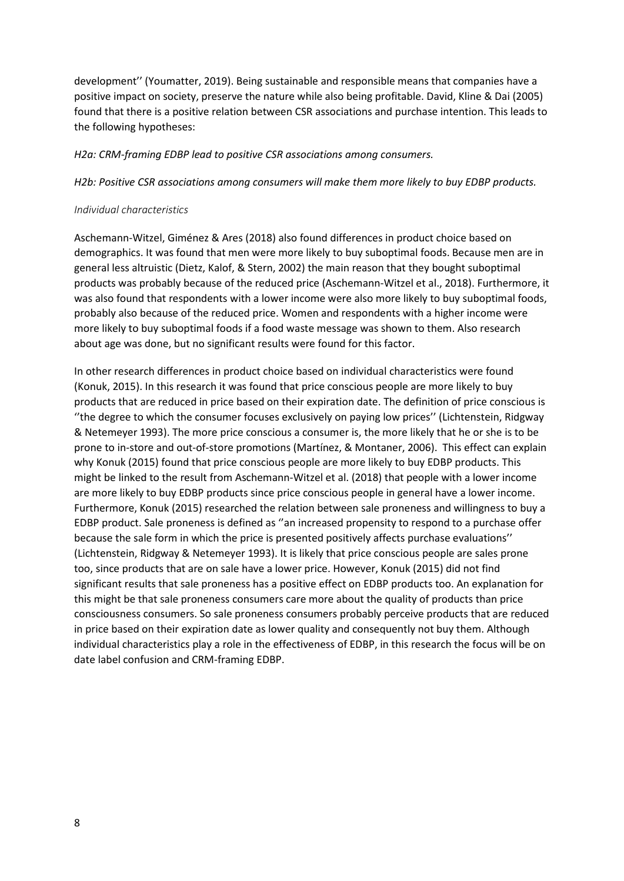development'' (Youmatter, 2019). Being sustainable and responsible means that companies have a positive impact on society, preserve the nature while also being profitable. David, Kline & Dai (2005) found that there is a positive relation between CSR associations and purchase intention. This leads to the following hypotheses:

#### *H2a: CRM-framing EDBP lead to positive CSR associations among consumers.*

*H2b: Positive CSR associations among consumers will make them more likely to buy EDBP products.*

#### *Individual characteristics*

Aschemann-Witzel, Giménez & Ares (2018) also found differences in product choice based on demographics. It was found that men were more likely to buy suboptimal foods. Because men are in general less altruistic (Dietz, Kalof, & Stern, 2002) the main reason that they bought suboptimal products was probably because of the reduced price (Aschemann-Witzel et al., 2018). Furthermore, it was also found that respondents with a lower income were also more likely to buy suboptimal foods, probably also because of the reduced price. Women and respondents with a higher income were more likely to buy suboptimal foods if a food waste message was shown to them. Also research about age was done, but no significant results were found for this factor.

In other research differences in product choice based on individual characteristics were found (Konuk, 2015). In this research it was found that price conscious people are more likely to buy products that are reduced in price based on their expiration date. The definition of price conscious is ''the degree to which the consumer focuses exclusively on paying low prices'' (Lichtenstein, Ridgway & Netemeyer 1993). The more price conscious a consumer is, the more likely that he or she is to be prone to in-store and out-of-store promotions (Martínez, & Montaner, 2006). This effect can explain why Konuk (2015) found that price conscious people are more likely to buy EDBP products. This might be linked to the result from Aschemann-Witzel et al. (2018) that people with a lower income are more likely to buy EDBP products since price conscious people in general have a lower income. Furthermore, Konuk (2015) researched the relation between sale proneness and willingness to buy a EDBP product. Sale proneness is defined as ''an increased propensity to respond to a purchase offer because the sale form in which the price is presented positively affects purchase evaluations'' (Lichtenstein, Ridgway & Netemeyer 1993). It is likely that price conscious people are sales prone too, since products that are on sale have a lower price. However, Konuk (2015) did not find significant results that sale proneness has a positive effect on EDBP products too. An explanation for this might be that sale proneness consumers care more about the quality of products than price consciousness consumers. So sale proneness consumers probably perceive products that are reduced in price based on their expiration date as lower quality and consequently not buy them. Although individual characteristics play a role in the effectiveness of EDBP, in this research the focus will be on date label confusion and CRM-framing EDBP.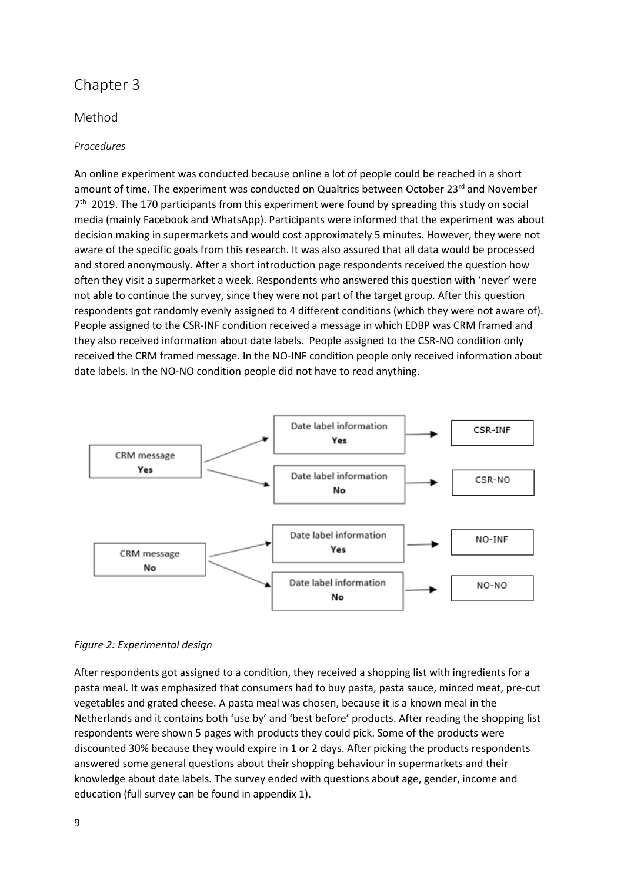# Chapter 3

# Method

## *Procedures*

An online experiment was conducted because online a lot of people could be reached in a short amount of time. The experiment was conducted on Qualtrics between October 23 $^{rd}$  and November 7<sup>th</sup> 2019. The 170 participants from this experiment were found by spreading this study on social media (mainly Facebook and WhatsApp). Participants were informed that the experiment was about decision making in supermarkets and would cost approximately 5 minutes. However, they were not aware of the specific goals from this research. It was also assured that all data would be processed and stored anonymously. After a short introduction page respondents received the question how often they visit a supermarket a week. Respondents who answered this question with 'never' were not able to continue the survey, since they were not part of the target group. After this question respondents got randomly evenly assigned to 4 different conditions (which they were not aware of). People assigned to the CSR-INF condition received a message in which EDBP was CRM framed and they also received information about date labels. People assigned to the CSR-NO condition only received the CRM framed message. In the NO-INF condition people only received information about date labels. In the NO-NO condition people did not have to read anything.



#### *Figure 2: Experimental design*

After respondents got assigned to a condition, they received a shopping list with ingredients for a pasta meal. It was emphasized that consumers had to buy pasta, pasta sauce, minced meat, pre-cut vegetables and grated cheese. A pasta meal was chosen, because it is a known meal in the Netherlands and it contains both 'use by' and 'best before' products. After reading the shopping list respondents were shown 5 pages with products they could pick. Some of the products were discounted 30% because they would expire in 1 or 2 days. After picking the products respondents answered some general questions about their shopping behaviour in supermarkets and their knowledge about date labels. The survey ended with questions about age, gender, income and education (full survey can be found in appendix 1).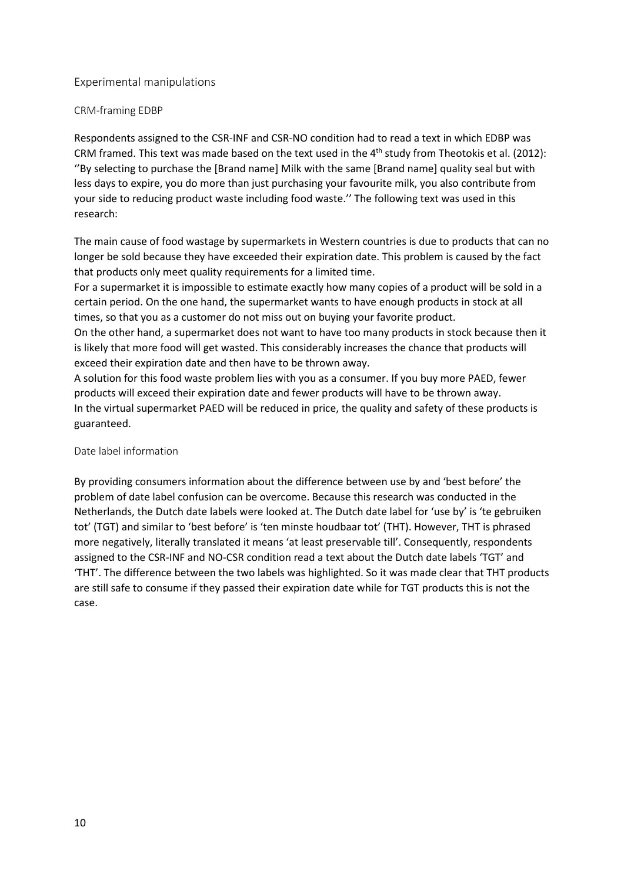## Experimental manipulations

### CRM-framing EDBP

Respondents assigned to the CSR-INF and CSR-NO condition had to read a text in which EDBP was CRM framed. This text was made based on the text used in the 4<sup>th</sup> study from Theotokis et al. (2012): ''By selecting to purchase the [Brand name] Milk with the same [Brand name] quality seal but with less days to expire, you do more than just purchasing your favourite milk, you also contribute from your side to reducing product waste including food waste.'' The following text was used in this research:

The main cause of food wastage by supermarkets in Western countries is due to products that can no longer be sold because they have exceeded their expiration date. This problem is caused by the fact that products only meet quality requirements for a limited time.

For a supermarket it is impossible to estimate exactly how many copies of a product will be sold in a certain period. On the one hand, the supermarket wants to have enough products in stock at all times, so that you as a customer do not miss out on buying your favorite product.

On the other hand, a supermarket does not want to have too many products in stock because then it is likely that more food will get wasted. This considerably increases the chance that products will exceed their expiration date and then have to be thrown away.

A solution for this food waste problem lies with you as a consumer. If you buy more PAED, fewer products will exceed their expiration date and fewer products will have to be thrown away. In the virtual supermarket PAED will be reduced in price, the quality and safety of these products is guaranteed.

#### Date label information

By providing consumers information about the difference between use by and 'best before' the problem of date label confusion can be overcome. Because this research was conducted in the Netherlands, the Dutch date labels were looked at. The Dutch date label for 'use by' is 'te gebruiken tot' (TGT) and similar to 'best before' is 'ten minste houdbaar tot' (THT). However, THT is phrased more negatively, literally translated it means 'at least preservable till'. Consequently, respondents assigned to the CSR-INF and NO-CSR condition read a text about the Dutch date labels 'TGT' and 'THT'. The difference between the two labels was highlighted. So it was made clear that THT products are still safe to consume if they passed their expiration date while for TGT products this is not the case.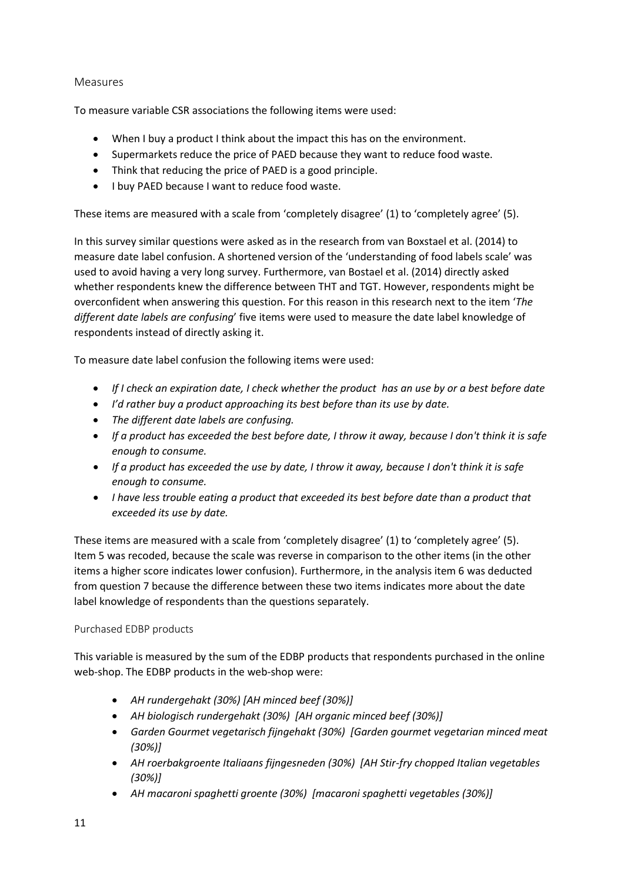# Measures

To measure variable CSR associations the following items were used:

- When I buy a product I think about the impact this has on the environment.
- Supermarkets reduce the price of PAED because they want to reduce food waste.
- Think that reducing the price of PAED is a good principle.
- I buy PAED because I want to reduce food waste.

These items are measured with a scale from 'completely disagree' (1) to 'completely agree' (5).

In this survey similar questions were asked as in the research from van Boxstael et al. (2014) to measure date label confusion. A shortened version of the 'understanding of food labels scale' was used to avoid having a very long survey. Furthermore, van Bostael et al. (2014) directly asked whether respondents knew the difference between THT and TGT. However, respondents might be overconfident when answering this question. For this reason in this research next to the item '*The different date labels are confusing*' five items were used to measure the date label knowledge of respondents instead of directly asking it.

To measure date label confusion the following items were used:

- *If I check an expiration date, I check whether the product has an use by or a best before date*
- *I'd rather buy a product approaching its best before than its use by date.*
- *The different date labels are confusing.*
- *If a product has exceeded the best before date, I throw it away, because I don't think it is safe enough to consume.*
- *If a product has exceeded the use by date, I throw it away, because I don't think it is safe enough to consume.*
- *I have less trouble eating a product that exceeded its best before date than a product that exceeded its use by date.*

These items are measured with a scale from 'completely disagree' (1) to 'completely agree' (5). Item 5 was recoded, because the scale was reverse in comparison to the other items (in the other items a higher score indicates lower confusion). Furthermore, in the analysis item 6 was deducted from question 7 because the difference between these two items indicates more about the date label knowledge of respondents than the questions separately.

#### Purchased EDBP products

This variable is measured by the sum of the EDBP products that respondents purchased in the online web-shop. The EDBP products in the web-shop were:

- *AH rundergehakt (30%) [AH minced beef (30%)]*
- *AH biologisch rundergehakt (30%) [AH organic minced beef (30%)]*
- *Garden Gourmet vegetarisch fijngehakt (30%) [Garden gourmet vegetarian minced meat (30%)]*
- *AH roerbakgroente Italiaans fijngesneden (30%) [AH Stir-fry chopped Italian vegetables (30%)]*
- *AH macaroni spaghetti groente (30%) [macaroni spaghetti vegetables (30%)]*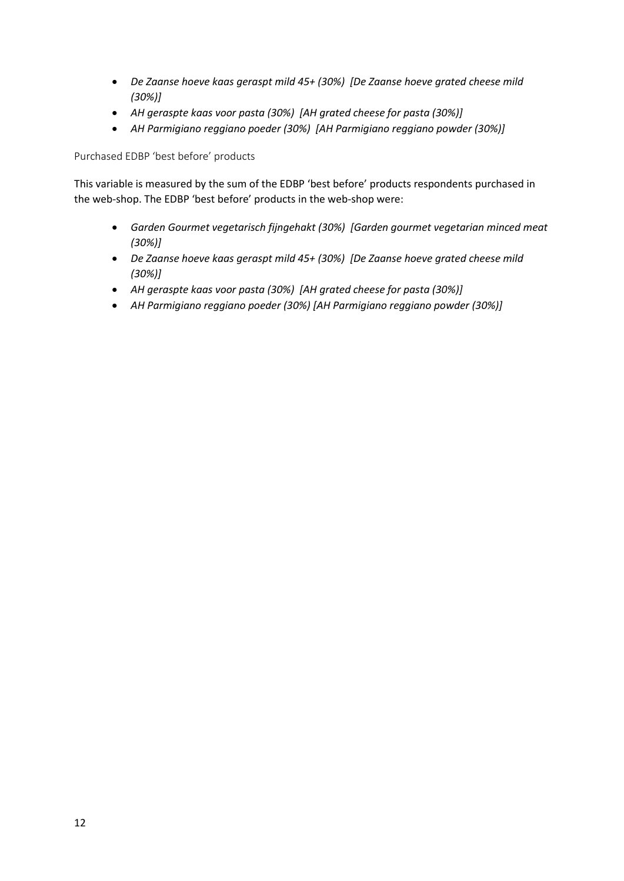- *De Zaanse hoeve kaas geraspt mild 45+ (30%) [De Zaanse hoeve grated cheese mild (30%)]*
- *AH geraspte kaas voor pasta (30%) [AH grated cheese for pasta (30%)]*
- *AH Parmigiano reggiano poeder (30%) [AH Parmigiano reggiano powder (30%)]*

Purchased EDBP 'best before' products

This variable is measured by the sum of the EDBP 'best before' products respondents purchased in the web-shop. The EDBP 'best before' products in the web-shop were:

- *Garden Gourmet vegetarisch fijngehakt (30%) [Garden gourmet vegetarian minced meat (30%)]*
- *De Zaanse hoeve kaas geraspt mild 45+ (30%) [De Zaanse hoeve grated cheese mild (30%)]*
- *AH geraspte kaas voor pasta (30%) [AH grated cheese for pasta (30%)]*
- *AH Parmigiano reggiano poeder (30%) [AH Parmigiano reggiano powder (30%)]*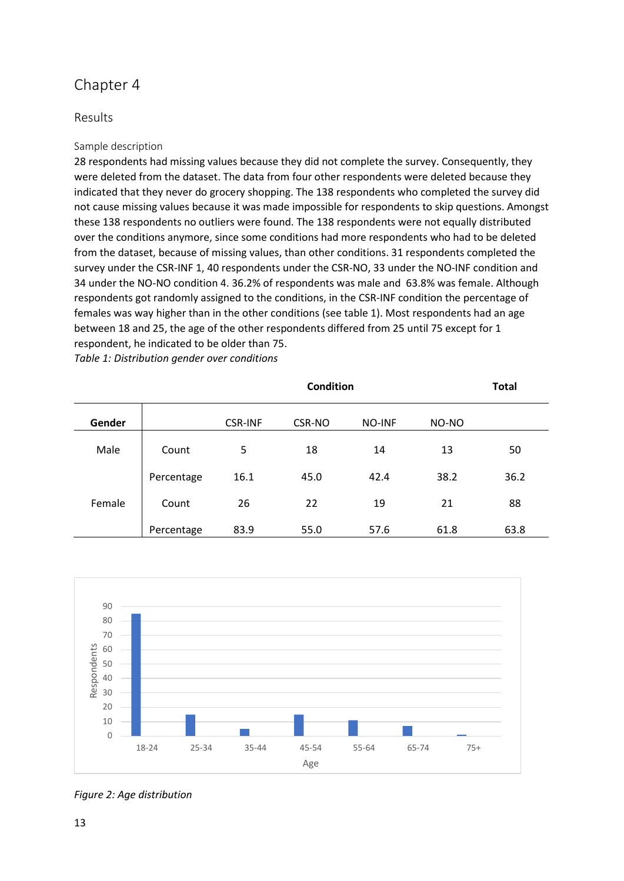# Chapter 4

# Results

## Sample description

28 respondents had missing values because they did not complete the survey. Consequently, they were deleted from the dataset. The data from four other respondents were deleted because they indicated that they never do grocery shopping. The 138 respondents who completed the survey did not cause missing values because it was made impossible for respondents to skip questions. Amongst these 138 respondents no outliers were found. The 138 respondents were not equally distributed over the conditions anymore, since some conditions had more respondents who had to be deleted from the dataset, because of missing values, than other conditions. 31 respondents completed the survey under the CSR-INF 1, 40 respondents under the CSR-NO, 33 under the NO-INF condition and 34 under the NO-NO condition 4. 36.2% of respondents was male and 63.8% was female. Although respondents got randomly assigned to the conditions, in the CSR-INF condition the percentage of females was way higher than in the other conditions (see table 1). Most respondents had an age between 18 and 25, the age of the other respondents differed from 25 until 75 except for 1 respondent, he indicated to be older than 75.

*Table 1: Distribution gender over conditions*

|        |            | <b>Condition</b> |        |               |       |      |
|--------|------------|------------------|--------|---------------|-------|------|
| Gender |            | <b>CSR-INF</b>   | CSR-NO | <b>NO-INF</b> | NO-NO |      |
| Male   | Count      | 5                | 18     | 14            | 13    | 50   |
|        | Percentage | 16.1             | 45.0   | 42.4          | 38.2  | 36.2 |
| Female | Count      | 26               | 22     | 19            | 21    | 88   |
|        | Percentage | 83.9             | 55.0   | 57.6          | 61.8  | 63.8 |



*Figure 2: Age distribution*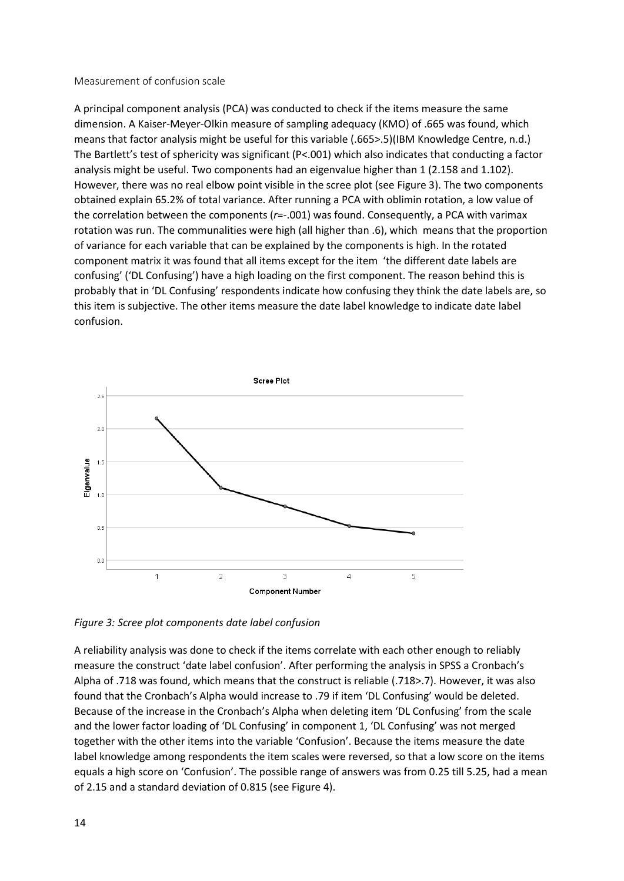#### Measurement of confusion scale

A principal component analysis (PCA) was conducted to check if the items measure the same dimension. A Kaiser-Meyer-Olkin measure of sampling adequacy (KMO) of .665 was found, which means that factor analysis might be useful for this variable (.665>.5)(IBM Knowledge Centre, n.d.) The Bartlett's test of sphericity was significant (P<.001) which also indicates that conducting a factor analysis might be useful. Two components had an eigenvalue higher than 1 (2.158 and 1.102). However, there was no real elbow point visible in the scree plot (see Figure 3). The two components obtained explain 65.2% of total variance. After running a PCA with oblimin rotation, a low value of the correlation between the components (*r*=-.001) was found. Consequently, a PCA with varimax rotation was run. The communalities were high (all higher than .6), which means that the proportion of variance for each variable that can be explained by the components is high. In the rotated component matrix it was found that all items except for the item 'the different date labels are confusing' ('DL Confusing') have a high loading on the first component. The reason behind this is probably that in 'DL Confusing' respondents indicate how confusing they think the date labels are, so this item is subjective. The other items measure the date label knowledge to indicate date label confusion.



*Figure 3: Scree plot components date label confusion*

A reliability analysis was done to check if the items correlate with each other enough to reliably measure the construct 'date label confusion'. After performing the analysis in SPSS a Cronbach's Alpha of .718 was found, which means that the construct is reliable (.718>.7). However, it was also found that the Cronbach's Alpha would increase to .79 if item 'DL Confusing' would be deleted. Because of the increase in the Cronbach's Alpha when deleting item 'DL Confusing' from the scale and the lower factor loading of 'DL Confusing' in component 1, 'DL Confusing' was not merged together with the other items into the variable 'Confusion'. Because the items measure the date label knowledge among respondents the item scales were reversed, so that a low score on the items equals a high score on 'Confusion'. The possible range of answers was from 0.25 till 5.25, had a mean of 2.15 and a standard deviation of 0.815 (see Figure 4).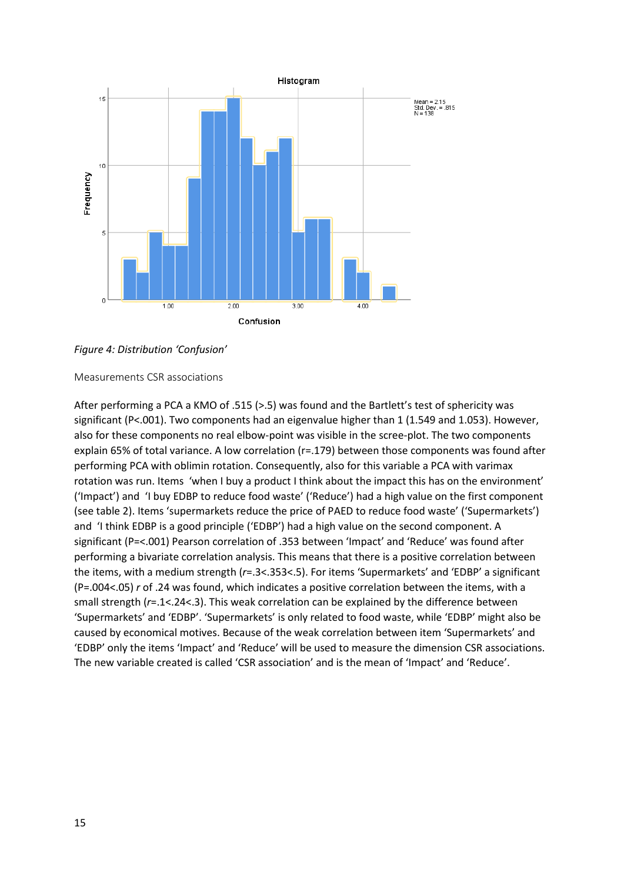

# *Figure 4: Distribution 'Confusion'*

Measurements CSR associations

After performing a PCA a KMO of .515 (>.5) was found and the Bartlett's test of sphericity was significant (P<.001). Two components had an eigenvalue higher than 1 (1.549 and 1.053). However, also for these components no real elbow-point was visible in the scree-plot. The two components explain 65% of total variance. A low correlation (r=.179) between those components was found after performing PCA with oblimin rotation. Consequently, also for this variable a PCA with varimax rotation was run. Items 'when I buy a product I think about the impact this has on the environment' ('Impact') and 'I buy EDBP to reduce food waste' ('Reduce') had a high value on the first component (see table 2). Items 'supermarkets reduce the price of PAED to reduce food waste' ('Supermarkets') and 'I think EDBP is a good principle ('EDBP') had a high value on the second component. A significant (P=<.001) Pearson correlation of .353 between 'Impact' and 'Reduce' was found after performing a bivariate correlation analysis. This means that there is a positive correlation between the items, with a medium strength (*r*=.3<.353<.5). For items 'Supermarkets' and 'EDBP' a significant (P=.004<.05) *r* of .24 was found, which indicates a positive correlation between the items, with a small strength (*r*=.1<.24<.3). This weak correlation can be explained by the difference between 'Supermarkets' and 'EDBP'. 'Supermarkets' is only related to food waste, while 'EDBP' might also be caused by economical motives. Because of the weak correlation between item 'Supermarkets' and 'EDBP' only the items 'Impact' and 'Reduce' will be used to measure the dimension CSR associations. The new variable created is called 'CSR association' and is the mean of 'Impact' and 'Reduce'.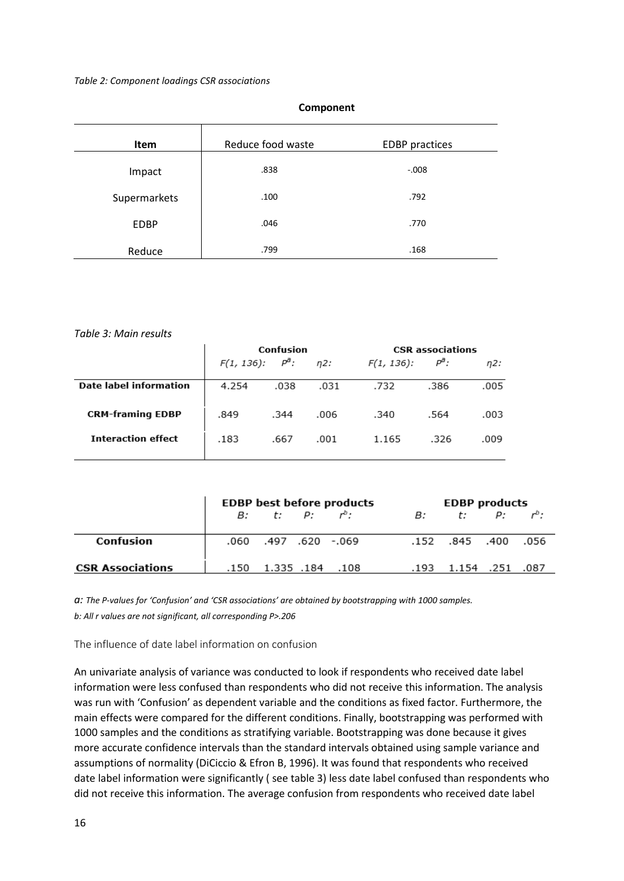#### *Table 2: Component loadings CSR associations*

| Item         | Reduce food waste | <b>EDBP</b> practices |
|--------------|-------------------|-----------------------|
| Impact       | .838              | $-.008$               |
| Supermarkets | .100              | .792                  |
| <b>EDBP</b>  | .046              | .770                  |
| Reduce       | .799              | .168                  |

#### **Component**

#### *Table 3: Main results*

|                               | Confusion          |      |        | <b>CSR</b> associations |                  |      |  |
|-------------------------------|--------------------|------|--------|-------------------------|------------------|------|--|
|                               | $F(1, 136): P^3$ : |      | $n2$ : | $F(1, 136)$ :           | Ρ <sup>a</sup> : | n2:  |  |
| <b>Date label information</b> | 4.254              | .038 | .031   | .732                    | .386             | .005 |  |
| <b>CRM-framing EDBP</b>       | .849               | .344 | .006   | .340                    | .564             | .003 |  |
| <b>Interaction effect</b>     | .183               | .667 | .001   | 1.165                   | .326             | .009 |  |

|                         | <b>EDBP</b> best before products |                      |  |      |      | <b>EDBP</b> products |  |  |  |
|-------------------------|----------------------------------|----------------------|--|------|------|----------------------|--|--|--|
|                         | $B: t: P: r^b:$                  |                      |  | B:   |      | t: $P$ : $r^b$ :     |  |  |  |
| Confusion               |                                  | .060. 620. 497. 060. |  |      |      | .152 .845 .400 .056  |  |  |  |
| <b>CSR Associations</b> |                                  | .150 1.335 .184      |  | .108 | .193 | 1.154 .251 .087      |  |  |  |

*a: The P-values for 'Confusion' and 'CSR associations' are obtained by bootstrapping with 1000 samples. b: All r values are not significant, all corresponding P>.206*

The influence of date label information on confusion

An univariate analysis of variance was conducted to look if respondents who received date label information were less confused than respondents who did not receive this information. The analysis was run with 'Confusion' as dependent variable and the conditions as fixed factor. Furthermore, the main effects were compared for the different conditions. Finally, bootstrapping was performed with 1000 samples and the conditions as stratifying variable. Bootstrapping was done because it gives more accurate confidence intervals than the standard intervals obtained using sample variance and assumptions of normality (DiCiccio & Efron B, 1996). It was found that respondents who received date label information were significantly ( see table 3) less date label confused than respondents who did not receive this information. The average confusion from respondents who received date label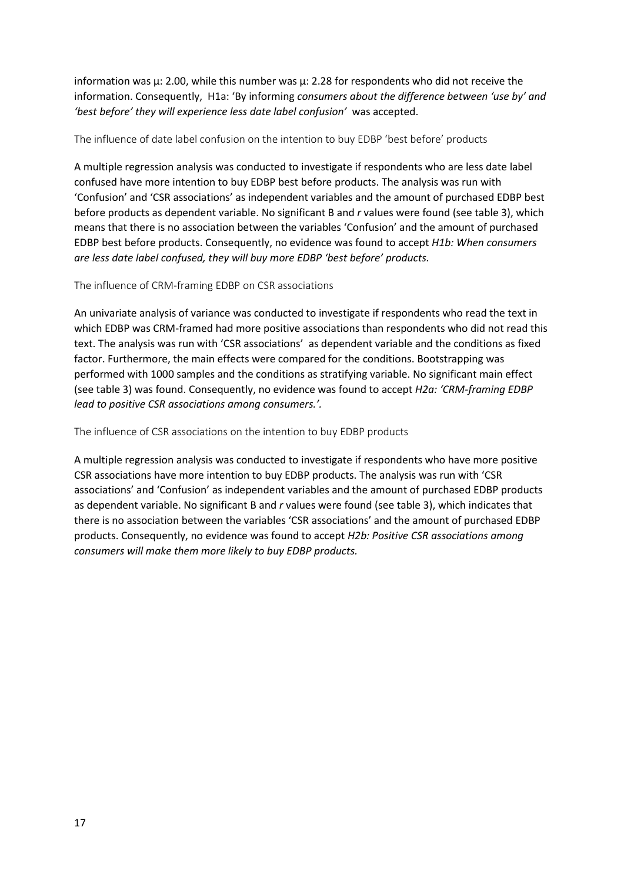information was  $\mu$ : 2.00, while this number was  $\mu$ : 2.28 for respondents who did not receive the information. Consequently, H1a: 'By informing *consumers about the difference between 'use by' and 'best before' they will experience less date label confusion'* was accepted.

The influence of date label confusion on the intention to buy EDBP 'best before' products

A multiple regression analysis was conducted to investigate if respondents who are less date label confused have more intention to buy EDBP best before products. The analysis was run with 'Confusion' and 'CSR associations' as independent variables and the amount of purchased EDBP best before products as dependent variable. No significant B and *r* values were found (see table 3), which means that there is no association between the variables 'Confusion' and the amount of purchased EDBP best before products. Consequently, no evidence was found to accept *H1b: When consumers are less date label confused, they will buy more EDBP 'best before' products.*

The influence of CRM-framing EDBP on CSR associations

An univariate analysis of variance was conducted to investigate if respondents who read the text in which EDBP was CRM-framed had more positive associations than respondents who did not read this text. The analysis was run with 'CSR associations' as dependent variable and the conditions as fixed factor. Furthermore, the main effects were compared for the conditions. Bootstrapping was performed with 1000 samples and the conditions as stratifying variable. No significant main effect (see table 3) was found. Consequently, no evidence was found to accept *H2a: 'CRM-framing EDBP lead to positive CSR associations among consumers.'.*

The influence of CSR associations on the intention to buy EDBP products

A multiple regression analysis was conducted to investigate if respondents who have more positive CSR associations have more intention to buy EDBP products. The analysis was run with 'CSR associations' and 'Confusion' as independent variables and the amount of purchased EDBP products as dependent variable. No significant B and *r* values were found (see table 3), which indicates that there is no association between the variables 'CSR associations' and the amount of purchased EDBP products. Consequently, no evidence was found to accept *H2b: Positive CSR associations among consumers will make them more likely to buy EDBP products.*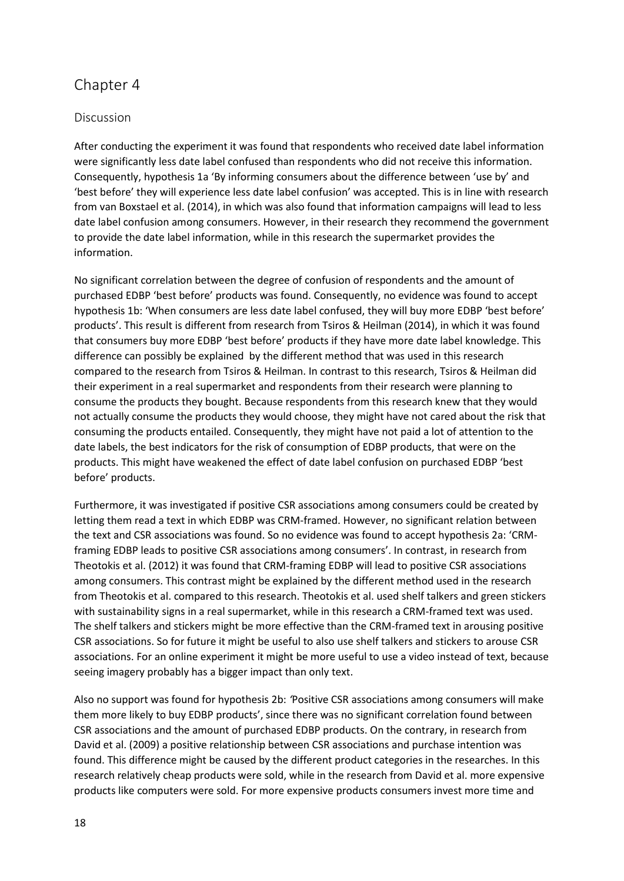# Chapter 4

# Discussion

After conducting the experiment it was found that respondents who received date label information were significantly less date label confused than respondents who did not receive this information. Consequently, hypothesis 1a 'By informing consumers about the difference between 'use by' and 'best before' they will experience less date label confusion' was accepted. This is in line with research from van Boxstael et al. (2014), in which was also found that information campaigns will lead to less date label confusion among consumers. However, in their research they recommend the government to provide the date label information, while in this research the supermarket provides the information.

No significant correlation between the degree of confusion of respondents and the amount of purchased EDBP 'best before' products was found. Consequently, no evidence was found to accept hypothesis 1b: 'When consumers are less date label confused, they will buy more EDBP 'best before' products'. This result is different from research from Tsiros & Heilman (2014), in which it was found that consumers buy more EDBP 'best before' products if they have more date label knowledge. This difference can possibly be explained by the different method that was used in this research compared to the research from Tsiros & Heilman. In contrast to this research, Tsiros & Heilman did their experiment in a real supermarket and respondents from their research were planning to consume the products they bought. Because respondents from this research knew that they would not actually consume the products they would choose, they might have not cared about the risk that consuming the products entailed. Consequently, they might have not paid a lot of attention to the date labels, the best indicators for the risk of consumption of EDBP products, that were on the products. This might have weakened the effect of date label confusion on purchased EDBP 'best before' products.

Furthermore, it was investigated if positive CSR associations among consumers could be created by letting them read a text in which EDBP was CRM-framed. However, no significant relation between the text and CSR associations was found. So no evidence was found to accept hypothesis 2a: 'CRMframing EDBP leads to positive CSR associations among consumers'. In contrast, in research from Theotokis et al. (2012) it was found that CRM-framing EDBP will lead to positive CSR associations among consumers. This contrast might be explained by the different method used in the research from Theotokis et al. compared to this research. Theotokis et al. used shelf talkers and green stickers with sustainability signs in a real supermarket, while in this research a CRM-framed text was used. The shelf talkers and stickers might be more effective than the CRM-framed text in arousing positive CSR associations. So for future it might be useful to also use shelf talkers and stickers to arouse CSR associations. For an online experiment it might be more useful to use a video instead of text, because seeing imagery probably has a bigger impact than only text.

Also no support was found for hypothesis 2b: *'*Positive CSR associations among consumers will make them more likely to buy EDBP products', since there was no significant correlation found between CSR associations and the amount of purchased EDBP products. On the contrary, in research from David et al. (2009) a positive relationship between CSR associations and purchase intention was found. This difference might be caused by the different product categories in the researches. In this research relatively cheap products were sold, while in the research from David et al. more expensive products like computers were sold. For more expensive products consumers invest more time and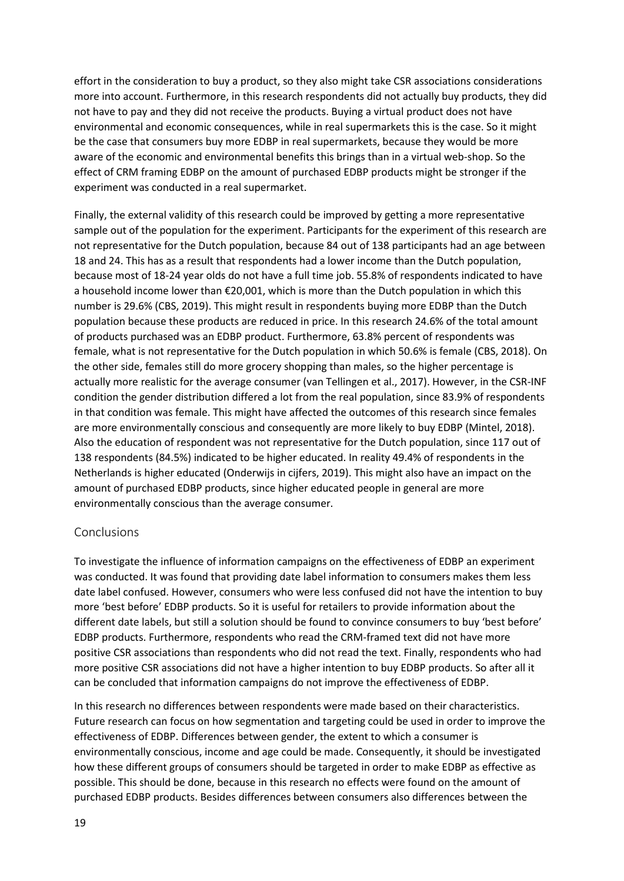effort in the consideration to buy a product, so they also might take CSR associations considerations more into account. Furthermore, in this research respondents did not actually buy products, they did not have to pay and they did not receive the products. Buying a virtual product does not have environmental and economic consequences, while in real supermarkets this is the case. So it might be the case that consumers buy more EDBP in real supermarkets, because they would be more aware of the economic and environmental benefits this brings than in a virtual web-shop. So the effect of CRM framing EDBP on the amount of purchased EDBP products might be stronger if the experiment was conducted in a real supermarket.

Finally, the external validity of this research could be improved by getting a more representative sample out of the population for the experiment. Participants for the experiment of this research are not representative for the Dutch population, because 84 out of 138 participants had an age between 18 and 24. This has as a result that respondents had a lower income than the Dutch population, because most of 18-24 year olds do not have a full time job. 55.8% of respondents indicated to have a household income lower than €20,001, which is more than the Dutch population in which this number is 29.6% (CBS, 2019). This might result in respondents buying more EDBP than the Dutch population because these products are reduced in price. In this research 24.6% of the total amount of products purchased was an EDBP product. Furthermore, 63.8% percent of respondents was female, what is not representative for the Dutch population in which 50.6% is female (CBS, 2018). On the other side, females still do more grocery shopping than males, so the higher percentage is actually more realistic for the average consumer (van Tellingen et al., 2017). However, in the CSR-INF condition the gender distribution differed a lot from the real population, since 83.9% of respondents in that condition was female. This might have affected the outcomes of this research since females are more environmentally conscious and consequently are more likely to buy EDBP (Mintel, 2018). Also the education of respondent was not representative for the Dutch population, since 117 out of 138 respondents (84.5%) indicated to be higher educated. In reality 49.4% of respondents in the Netherlands is higher educated (Onderwijs in cijfers, 2019). This might also have an impact on the amount of purchased EDBP products, since higher educated people in general are more environmentally conscious than the average consumer.

# Conclusions

To investigate the influence of information campaigns on the effectiveness of EDBP an experiment was conducted. It was found that providing date label information to consumers makes them less date label confused. However, consumers who were less confused did not have the intention to buy more 'best before' EDBP products. So it is useful for retailers to provide information about the different date labels, but still a solution should be found to convince consumers to buy 'best before' EDBP products. Furthermore, respondents who read the CRM-framed text did not have more positive CSR associations than respondents who did not read the text. Finally, respondents who had more positive CSR associations did not have a higher intention to buy EDBP products. So after all it can be concluded that information campaigns do not improve the effectiveness of EDBP.

In this research no differences between respondents were made based on their characteristics. Future research can focus on how segmentation and targeting could be used in order to improve the effectiveness of EDBP. Differences between gender, the extent to which a consumer is environmentally conscious, income and age could be made. Consequently, it should be investigated how these different groups of consumers should be targeted in order to make EDBP as effective as possible. This should be done, because in this research no effects were found on the amount of purchased EDBP products. Besides differences between consumers also differences between the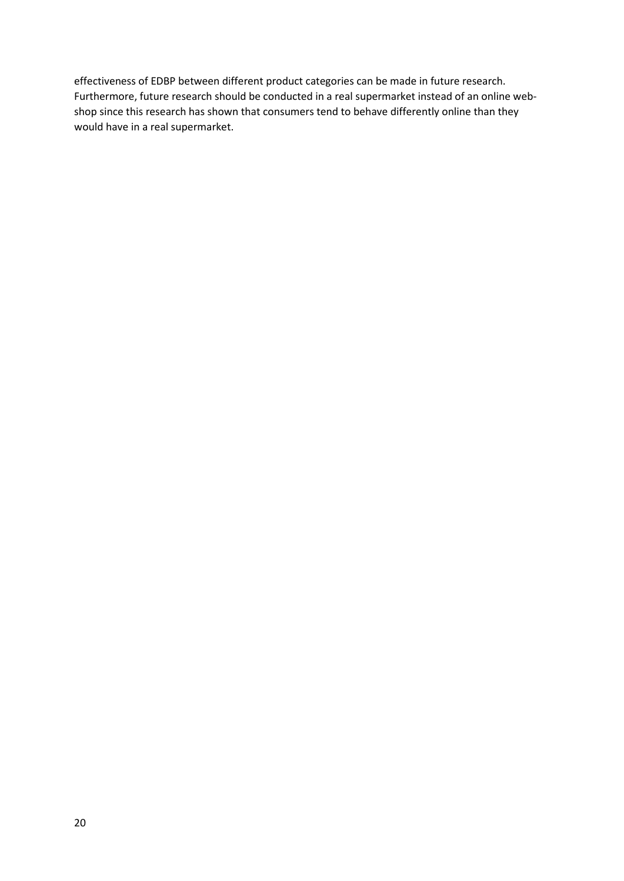effectiveness of EDBP between different product categories can be made in future research. Furthermore, future research should be conducted in a real supermarket instead of an online webshop since this research has shown that consumers tend to behave differently online than they would have in a real supermarket.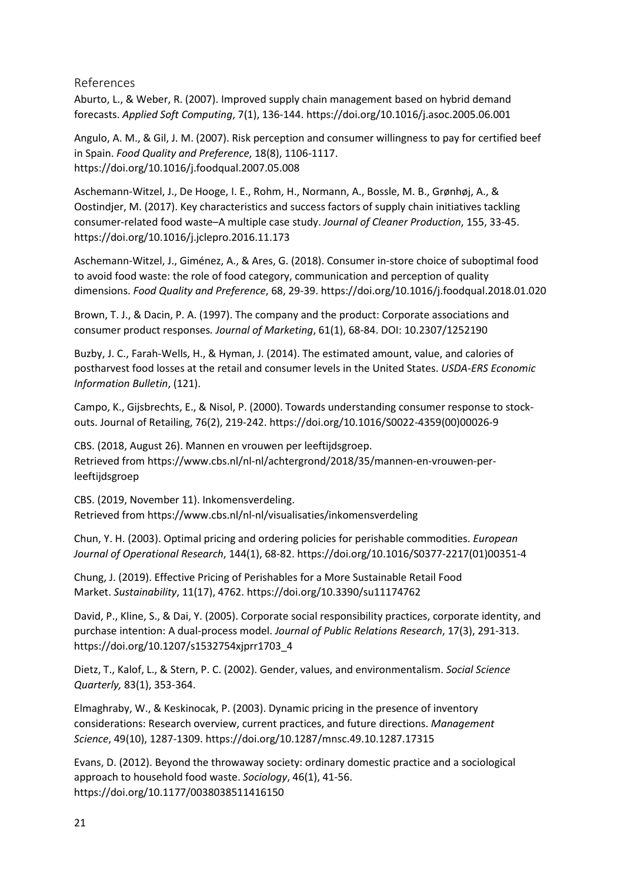References

Aburto, L., & Weber, R. (2007). Improved supply chain management based on hybrid demand forecasts. *Applied Soft Computing*, 7(1), 136-144. https://doi.org/10.1016/j.asoc.2005.06.001

Angulo, A. M., & Gil, J. M. (2007). Risk perception and consumer willingness to pay for certified beef in Spain. *Food Quality and Preference*, 18(8), 1106-1117. https://doi.org/10.1016/j.foodqual.2007.05.008

Aschemann-Witzel, J., De Hooge, I. E., Rohm, H., Normann, A., Bossle, M. B., Grønhøj, A., & Oostindjer, M. (2017). Key characteristics and success factors of supply chain initiatives tackling consumer-related food waste–A multiple case study. *Journal of Cleaner Production*, 155, 33-45. https://doi.org/10.1016/j.jclepro.2016.11.173

Aschemann-Witzel, J., Giménez, A., & Ares, G. (2018). Consumer in-store choice of suboptimal food to avoid food waste: the role of food category, communication and perception of quality dimensions. *Food Quality and Preference*, 68, 29-39. https://doi.org/10.1016/j.foodqual.2018.01.020

Brown, T. J., & Dacin, P. A. (1997). The company and the product: Corporate associations and consumer product responses*. Journal of Marketing*, 61(1), 68-84. DOI: 10.2307/1252190

Buzby, J. C., Farah-Wells, H., & Hyman, J. (2014). The estimated amount, value, and calories of postharvest food losses at the retail and consumer levels in the United States. *USDA-ERS Economic Information Bulletin*, (121).

Campo, K., Gijsbrechts, E., & Nisol, P. (2000). Towards understanding consumer response to stockouts. Journal of Retailing, 76(2), 219-242. [https://doi.org/10.1016/S0022-4359\(00\)00026-9](https://doi.org/10.1016/S0022-4359(00)00026-9)

CBS. (2018, August 26). Mannen en vrouwen per leeftijdsgroep. Retrieved from [https://www.cbs.nl/nl-nl/achtergrond/2018/35/mannen-en-vrouwen-per](https://www.cbs.nl/nl-nl/achtergrond/2018/35/mannen-en-vrouwen-per-leeftijdsgroep)[leeftijdsgroep](https://www.cbs.nl/nl-nl/achtergrond/2018/35/mannen-en-vrouwen-per-leeftijdsgroep)

CBS. (2019, November 11). Inkomensverdeling. Retrieved from<https://www.cbs.nl/nl-nl/visualisaties/inkomensverdeling>

Chun, Y. H. (2003). Optimal pricing and ordering policies for perishable commodities. *European Journal of Operational Research*, 144(1), 68-82. https://doi.org/10.1016/S0377-2217(01)00351-4

Chung, J. (2019). Effective Pricing of Perishables for a More Sustainable Retail Food Market. *Sustainability*, 11(17), 4762. https://doi.org/10.3390/su11174762

David, P., Kline, S., & Dai, Y. (2005). Corporate social responsibility practices, corporate identity, and purchase intention: A dual-process model. *Journal of Public Relations Research*, 17(3), 291-313. https://doi.org/10.1207/s1532754xjprr1703\_4

Dietz, T., Kalof, L., & Stern, P. C. (2002). Gender, values, and environmentalism. *Social Science Quarterly,* 83(1), 353-364.

Elmaghraby, W., & Keskinocak, P. (2003). Dynamic pricing in the presence of inventory considerations: Research overview, current practices, and future directions. *Management Science*, 49(10), 1287-1309. https://doi.org/10.1287/mnsc.49.10.1287.17315

Evans, D. (2012). Beyond the throwaway society: ordinary domestic practice and a sociological approach to household food waste. *Sociology*, 46(1), 41-56. https://doi.org/10.1177/0038038511416150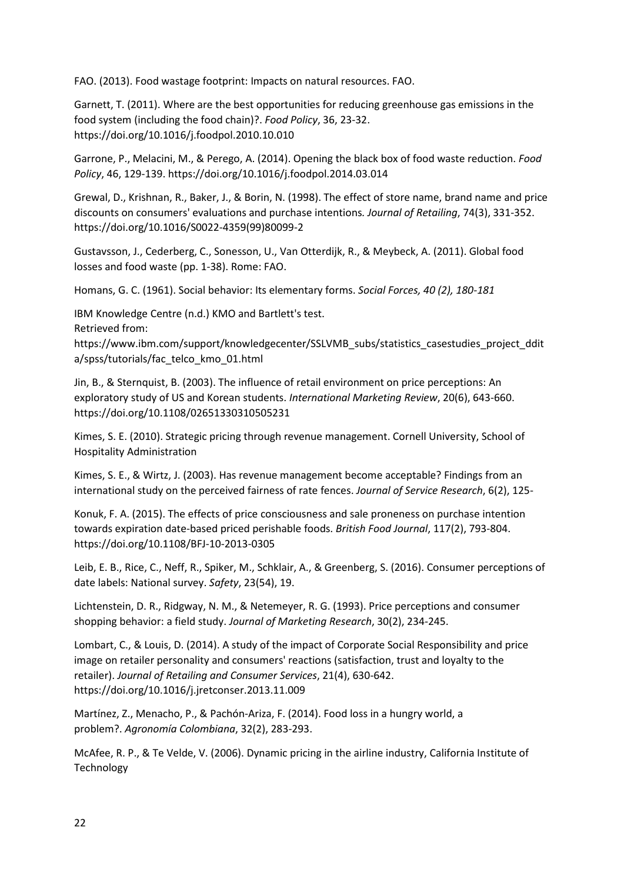FAO. (2013). Food wastage footprint: Impacts on natural resources. FAO.

Garnett, T. (2011). Where are the best opportunities for reducing greenhouse gas emissions in the food system (including the food chain)?. *Food Policy*, 36, 23-32. https://doi.org/10.1016/j.foodpol.2010.10.010

Garrone, P., Melacini, M., & Perego, A. (2014). Opening the black box of food waste reduction. *Food Policy*, 46, 129-139. https://doi.org/10.1016/j.foodpol.2014.03.014

Grewal, D., Krishnan, R., Baker, J., & Borin, N. (1998). The effect of store name, brand name and price discounts on consumers' evaluations and purchase intentions*. Journal of Retailing*, 74(3), 331-352. https://doi.org/10.1016/S0022-4359(99)80099-2

Gustavsson, J., Cederberg, C., Sonesson, U., Van Otterdijk, R., & Meybeck, A. (2011). Global food losses and food waste (pp. 1-38). Rome: FAO.

Homans, G. C. (1961). Social behavior: Its elementary forms. *Social Forces, 40 (2), 180-181*

IBM Knowledge Centre (n.d.) KMO and Bartlett's test.

Retrieved from:

[https://www.ibm.com/support/knowledgecenter/SSLVMB\\_subs/statistics\\_casestudies\\_project\\_ddit](https://www.ibm.com/support/knowledgecenter/SSLVMB_subs/statistics_casestudies_project_ddita/spss/tutorials/fac_telco_kmo_01.html) [a/spss/tutorials/fac\\_telco\\_kmo\\_01.html](https://www.ibm.com/support/knowledgecenter/SSLVMB_subs/statistics_casestudies_project_ddita/spss/tutorials/fac_telco_kmo_01.html)

Jin, B., & Sternquist, B. (2003). The influence of retail environment on price perceptions: An exploratory study of US and Korean students. *International Marketing Review*, 20(6), 643-660. https://doi.org/10.1108/02651330310505231

Kimes, S. E. (2010). Strategic pricing through revenue management. Cornell University, School of Hospitality Administration

Kimes, S. E., & Wirtz, J. (2003). Has revenue management become acceptable? Findings from an international study on the perceived fairness of rate fences. *Journal of Service Research*, 6(2), 125-

Konuk, F. A. (2015). The effects of price consciousness and sale proneness on purchase intention towards expiration date-based priced perishable foods. *British Food Journal*, 117(2), 793-804. https://doi.org/10.1108/BFJ-10-2013-0305

Leib, E. B., Rice, C., Neff, R., Spiker, M., Schklair, A., & Greenberg, S. (2016). Consumer perceptions of date labels: National survey. *Safety*, 23(54), 19.

Lichtenstein, D. R., Ridgway, N. M., & Netemeyer, R. G. (1993). Price perceptions and consumer shopping behavior: a field study. *Journal of Marketing Research*, 30(2), 234-245.

Lombart, C., & Louis, D. (2014). A study of the impact of Corporate Social Responsibility and price image on retailer personality and consumers' reactions (satisfaction, trust and loyalty to the retailer). *Journal of Retailing and Consumer Services*, 21(4), 630-642. https://doi.org/10.1016/j.jretconser.2013.11.009

Martínez, Z., Menacho, P., & Pachón-Ariza, F. (2014). Food loss in a hungry world, a problem?. *Agronomía Colombiana*, 32(2), 283-293.

McAfee, R. P., & Te Velde, V. (2006). Dynamic pricing in the airline industry, California Institute of Technology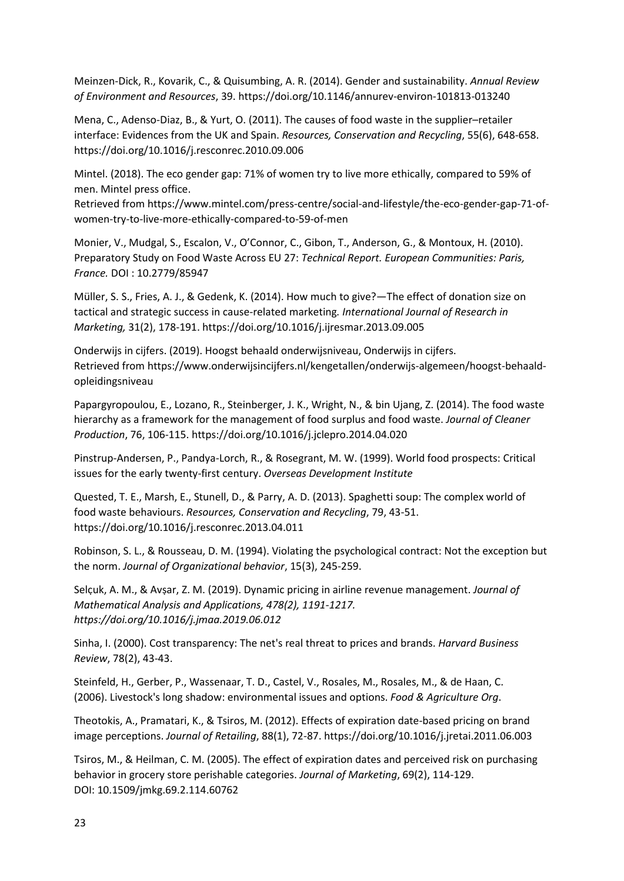Meinzen-Dick, R., Kovarik, C., & Quisumbing, A. R. (2014). Gender and sustainability. *Annual Review of Environment and Resources*, 39. https://doi.org/10.1146/annurev-environ-101813-013240

Mena, C., Adenso-Diaz, B., & Yurt, O. (2011). The causes of food waste in the supplier–retailer interface: Evidences from the UK and Spain. *Resources, Conservation and Recycling*, 55(6), 648-658. https://doi.org/10.1016/j.resconrec.2010.09.006

Mintel. (2018). The eco gender gap: 71% of women try to live more ethically, compared to 59% of men. Mintel press office.

Retrieved from https://www.mintel.com/press-centre/social-and-lifestyle/the-eco-gender-gap-71-ofwomen-try-to-live-more-ethically-compared-to-59-of-men

Monier, V., Mudgal, S., Escalon, V., O'Connor, C., Gibon, T., Anderson, G., & Montoux, H. (2010). Preparatory Study on Food Waste Across EU 27: *Technical Report. European Communities: Paris, France.* DOI : 10.2779/85947

Müller, S. S., Fries, A. J., & Gedenk, K. (2014). How much to give?—The effect of donation size on tactical and strategic success in cause-related marketing*. International Journal of Research in Marketing,* 31(2), 178-191. https://doi.org/10.1016/j.ijresmar.2013.09.005

Onderwijs in cijfers. (2019). Hoogst behaald onderwijsniveau, Onderwijs in cijfers. Retrieved from https://www.onderwijsincijfers.nl/kengetallen/onderwijs-algemeen/hoogst-behaaldopleidingsniveau

Papargyropoulou, E., Lozano, R., Steinberger, J. K., Wright, N., & bin Ujang, Z. (2014). The food waste hierarchy as a framework for the management of food surplus and food waste. *Journal of Cleaner Production*, 76, 106-115. https://doi.org/10.1016/j.jclepro.2014.04.020

Pinstrup-Andersen, P., Pandya-Lorch, R., & Rosegrant, M. W. (1999). World food prospects: Critical issues for the early twenty-first century. *Overseas Development Institute*

Quested, T. E., Marsh, E., Stunell, D., & Parry, A. D. (2013). Spaghetti soup: The complex world of food waste behaviours. *Resources, Conservation and Recycling*, 79, 43-51. https://doi.org/10.1016/j.resconrec.2013.04.011

Robinson, S. L., & Rousseau, D. M. (1994). Violating the psychological contract: Not the exception but the norm. *Journal of Organizational behavior*, 15(3), 245-259.

Selcuk, A. M., & Avsar, Z. M. (2019). Dynamic pricing in airline revenue management. *Journal of Mathematical Analysis and Applications, 478(2), 1191-1217. https://doi.org/10.1016/j.jmaa.2019.06.012*

Sinha, I. (2000). Cost transparency: The net's real threat to prices and brands. *Harvard Business Review*, 78(2), 43-43.

Steinfeld, H., Gerber, P., Wassenaar, T. D., Castel, V., Rosales, M., Rosales, M., & de Haan, C. (2006). Livestock's long shadow: environmental issues and options. *Food & Agriculture Org*.

Theotokis, A., Pramatari, K., & Tsiros, M. (2012). Effects of expiration date-based pricing on brand image perceptions. *Journal of Retailing*, 88(1), 72-87. https://doi.org/10.1016/j.jretai.2011.06.003

Tsiros, M., & Heilman, C. M. (2005). The effect of expiration dates and perceived risk on purchasing behavior in grocery store perishable categories. *Journal of Marketing*, 69(2), 114-129. DOI: 10.1509/jmkg.69.2.114.60762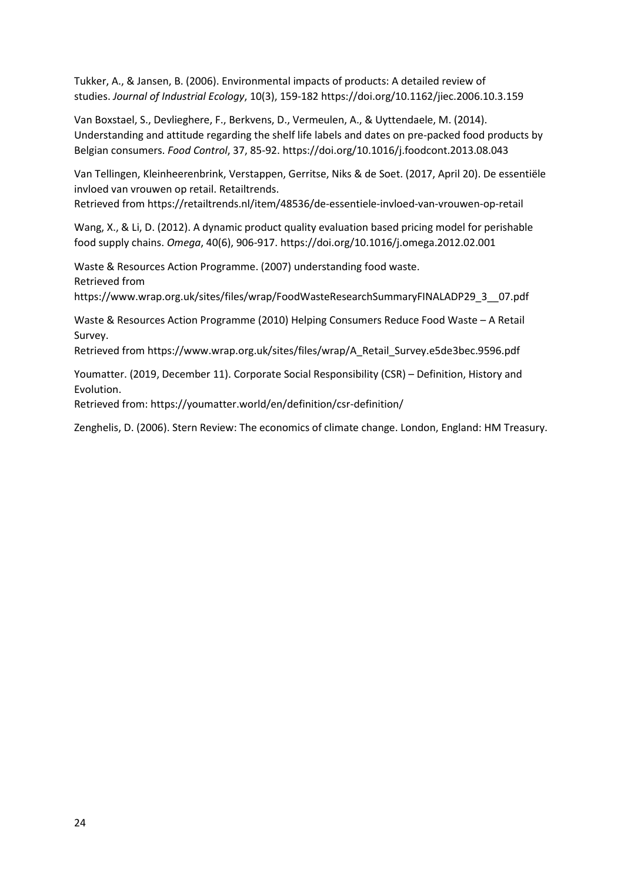Tukker, A., & Jansen, B. (2006). Environmental impacts of products: A detailed review of studies. *Journal of Industrial Ecology*, 10(3), 159-182 https://doi.org/10.1162/jiec.2006.10.3.159

Van Boxstael, S., Devlieghere, F., Berkvens, D., Vermeulen, A., & Uyttendaele, M. (2014). Understanding and attitude regarding the shelf life labels and dates on pre-packed food products by Belgian consumers. *Food Control*, 37, 85-92. https://doi.org/10.1016/j.foodcont.2013.08.043

Van Tellingen, Kleinheerenbrink, Verstappen, Gerritse, Niks & de Soet. (2017, April 20). De essentiële invloed van vrouwen op retail. Retailtrends.

Retrieved from https://retailtrends.nl/item/48536/de-essentiele-invloed-van-vrouwen-op-retail

Wang, X., & Li, D. (2012). A dynamic product quality evaluation based pricing model for perishable food supply chains. *Omega*, 40(6), 906-917. https://doi.org/10.1016/j.omega.2012.02.001

Waste & Resources Action Programme. (2007) understanding food waste. Retrieved from

https://www.wrap.org.uk/sites/files/wrap/FoodWasteResearchSummaryFINALADP29\_3\_\_07.pdf

Waste & Resources Action Programme (2010) Helping Consumers Reduce Food Waste – A Retail Survey.

Retrieved from https://www.wrap.org.uk/sites/files/wrap/A\_Retail\_Survey.e5de3bec.9596.pdf

Youmatter. (2019, December 11). Corporate Social Responsibility (CSR) – Definition, History and Evolution.

Retrieved from[: https://youmatter.world/en/definition/csr-definition/](https://youmatter.world/en/definition/csr-definition/)

Zenghelis, D. (2006). Stern Review: The economics of climate change. London, England: HM Treasury.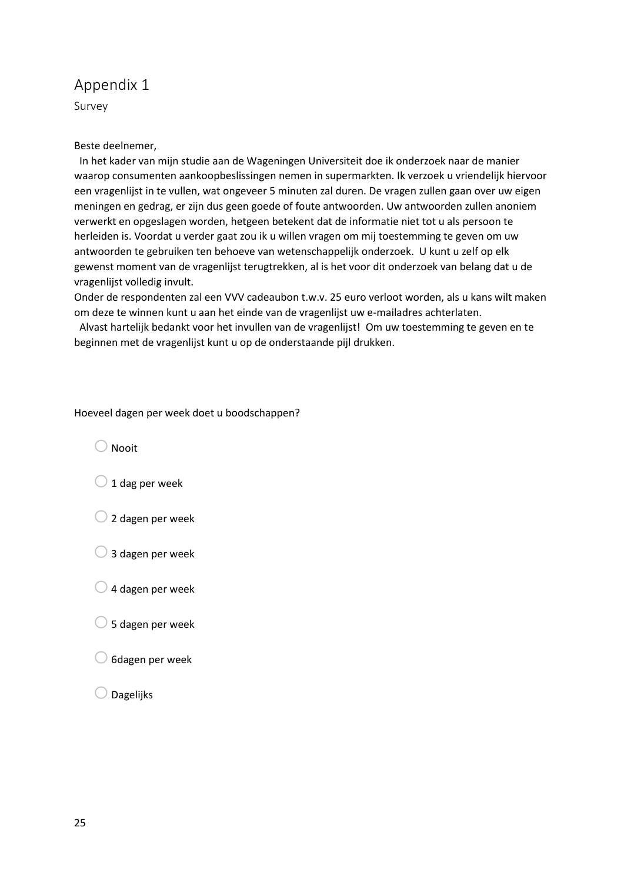# Appendix 1

Survey

## Beste deelnemer,

 In het kader van mijn studie aan de Wageningen Universiteit doe ik onderzoek naar de manier waarop consumenten aankoopbeslissingen nemen in supermarkten. Ik verzoek u vriendelijk hiervoor een vragenlijst in te vullen, wat ongeveer 5 minuten zal duren. De vragen zullen gaan over uw eigen meningen en gedrag, er zijn dus geen goede of foute antwoorden. Uw antwoorden zullen anoniem verwerkt en opgeslagen worden, hetgeen betekent dat de informatie niet tot u als persoon te herleiden is. Voordat u verder gaat zou ik u willen vragen om mij toestemming te geven om uw antwoorden te gebruiken ten behoeve van wetenschappelijk onderzoek. U kunt u zelf op elk gewenst moment van de vragenlijst terugtrekken, al is het voor dit onderzoek van belang dat u de vragenlijst volledig invult.

Onder de respondenten zal een VVV cadeaubon t.w.v. 25 euro verloot worden, als u kans wilt maken om deze te winnen kunt u aan het einde van de vragenlijst uw e-mailadres achterlaten.

 Alvast hartelijk bedankt voor het invullen van de vragenlijst! Om uw toestemming te geven en te beginnen met de vragenlijst kunt u op de onderstaande pijl drukken.

#### Hoeveel dagen per week doet u boodschappen?

 $\bigcap$  Nooit

| $\cup$ 1 dag per week |  |
|-----------------------|--|
|-----------------------|--|

- $\bigcirc$  2 dagen per week
- $\bigcirc$  3 dagen per week
- $\bigcirc$  4 dagen per week
- $\bigcirc$  5 dagen per week
- $\bigcirc$  6dagen per week
- $\bigcirc$  Dagelijks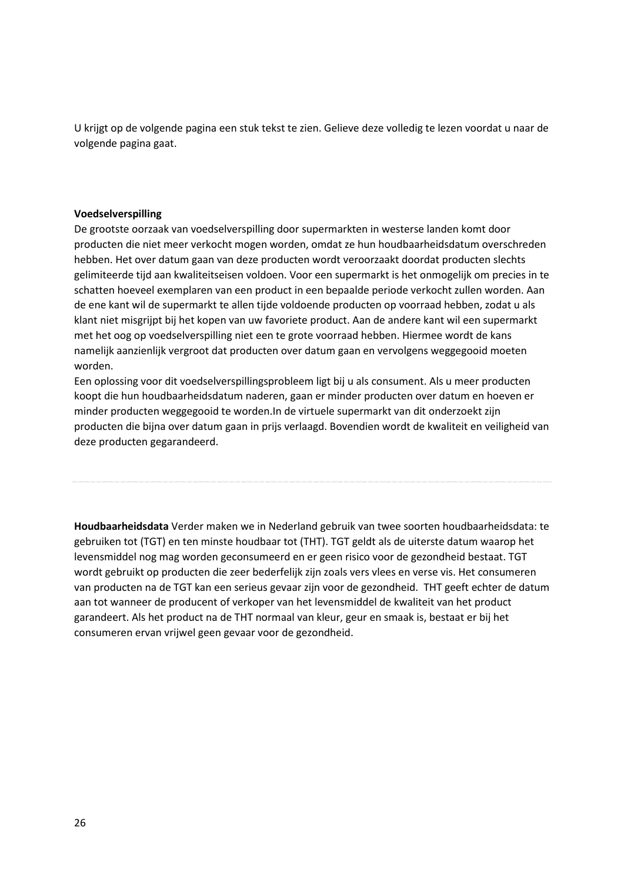U krijgt op de volgende pagina een stuk tekst te zien. Gelieve deze volledig te lezen voordat u naar de volgende pagina gaat.

#### **Voedselverspilling**

De grootste oorzaak van voedselverspilling door supermarkten in westerse landen komt door producten die niet meer verkocht mogen worden, omdat ze hun houdbaarheidsdatum overschreden hebben. Het over datum gaan van deze producten wordt veroorzaakt doordat producten slechts gelimiteerde tijd aan kwaliteitseisen voldoen. Voor een supermarkt is het onmogelijk om precies in te schatten hoeveel exemplaren van een product in een bepaalde periode verkocht zullen worden. Aan de ene kant wil de supermarkt te allen tijde voldoende producten op voorraad hebben, zodat u als klant niet misgrijpt bij het kopen van uw favoriete product. Aan de andere kant wil een supermarkt met het oog op voedselverspilling niet een te grote voorraad hebben. Hiermee wordt de kans namelijk aanzienlijk vergroot dat producten over datum gaan en vervolgens weggegooid moeten worden.

Een oplossing voor dit voedselverspillingsprobleem ligt bij u als consument. Als u meer producten koopt die hun houdbaarheidsdatum naderen, gaan er minder producten over datum en hoeven er minder producten weggegooid te worden.In de virtuele supermarkt van dit onderzoekt zijn producten die bijna over datum gaan in prijs verlaagd. Bovendien wordt de kwaliteit en veiligheid van deze producten gegarandeerd.

**Houdbaarheidsdata** Verder maken we in Nederland gebruik van twee soorten houdbaarheidsdata: te gebruiken tot (TGT) en ten minste houdbaar tot (THT). TGT geldt als de uiterste datum waarop het levensmiddel nog mag worden geconsumeerd en er geen risico voor de gezondheid bestaat. TGT wordt gebruikt op producten die zeer bederfelijk zijn zoals vers vlees en verse vis. Het consumeren van producten na de TGT kan een serieus gevaar zijn voor de gezondheid. THT geeft echter de datum aan tot wanneer de producent of verkoper van het levensmiddel de kwaliteit van het product garandeert. Als het product na de THT normaal van kleur, geur en smaak is, bestaat er bij het consumeren ervan vrijwel geen gevaar voor de gezondheid.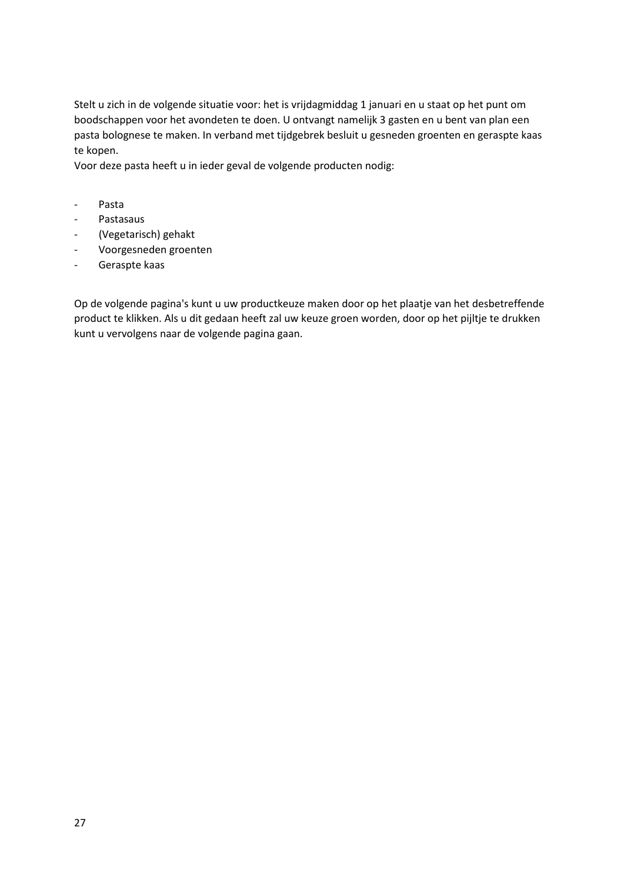Stelt u zich in de volgende situatie voor: het is vrijdagmiddag 1 januari en u staat op het punt om boodschappen voor het avondeten te doen. U ontvangt namelijk 3 gasten en u bent van plan een pasta bolognese te maken. In verband met tijdgebrek besluit u gesneden groenten en geraspte kaas te kopen.

Voor deze pasta heeft u in ieder geval de volgende producten nodig:

- Pasta
- Pastasaus
- (Vegetarisch) gehakt
- Voorgesneden groenten
- Geraspte kaas

Op de volgende pagina's kunt u uw productkeuze maken door op het plaatje van het desbetreffende product te klikken. Als u dit gedaan heeft zal uw keuze groen worden, door op het pijltje te drukken kunt u vervolgens naar de volgende pagina gaan.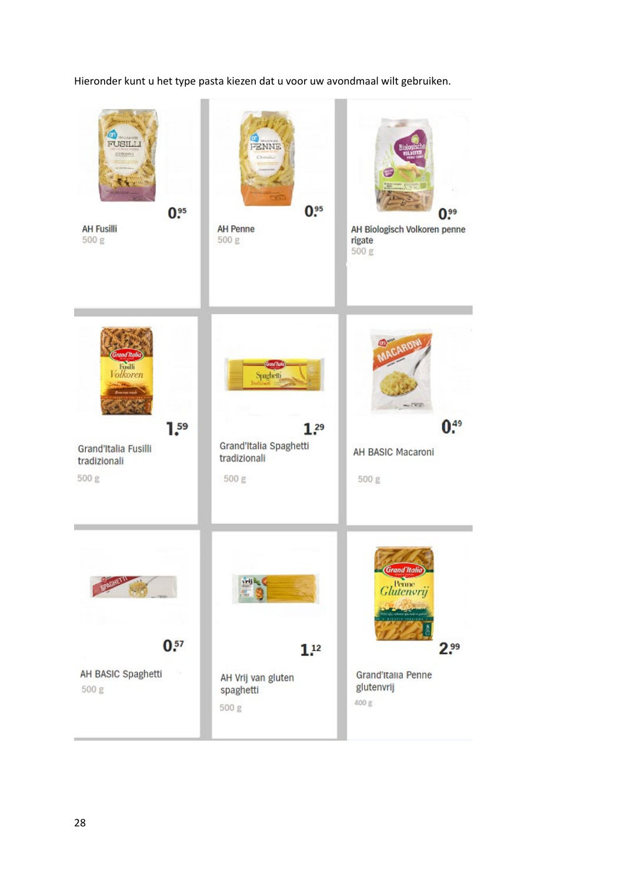Hieronder kunt u het type pasta kiezen dat u voor uw avondmaal wilt gebruiken.

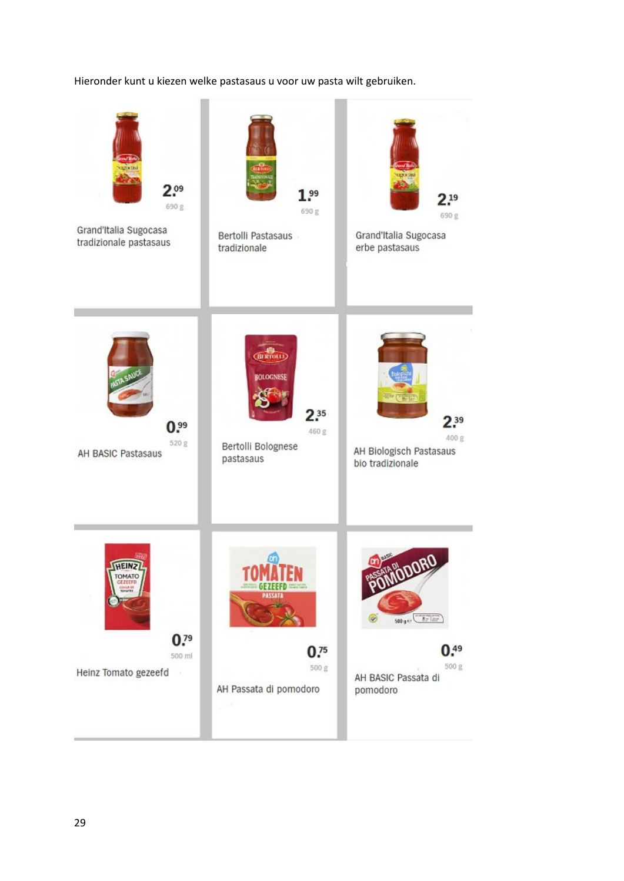# Hieronder kunt u kiezen welke pastasaus u voor uw pasta wilt gebruiken.

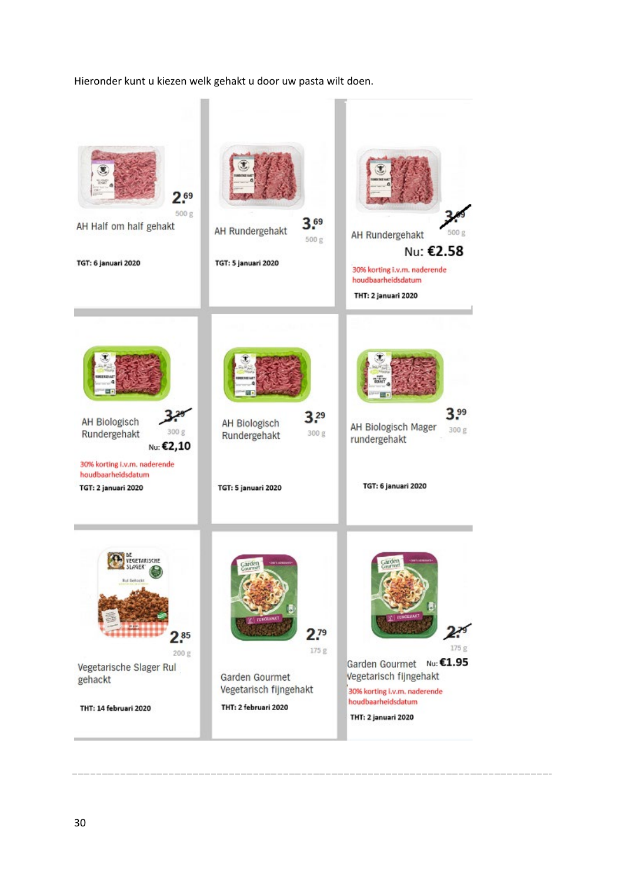#### Hieronder kunt u kiezen welk gehakt u door uw pasta wilt doen.

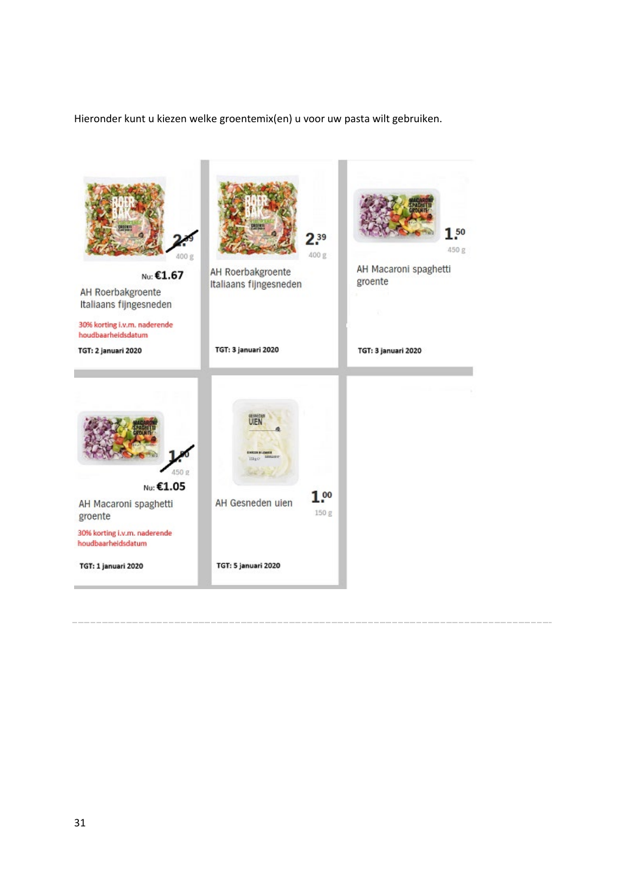Hieronder kunt u kiezen welke groentemix(en) u voor uw pasta wilt gebruiken.

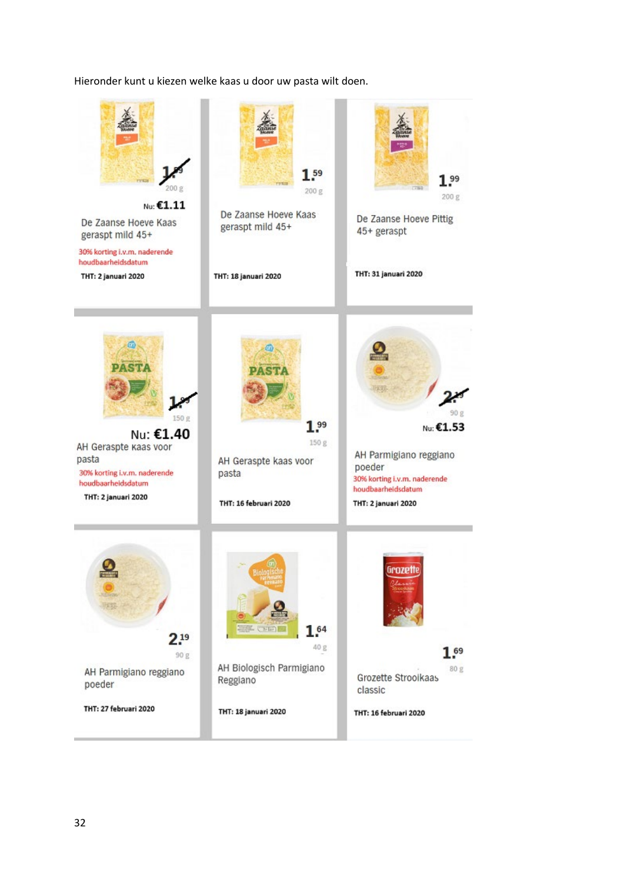### Hieronder kunt u kiezen welke kaas u door uw pasta wilt doen.

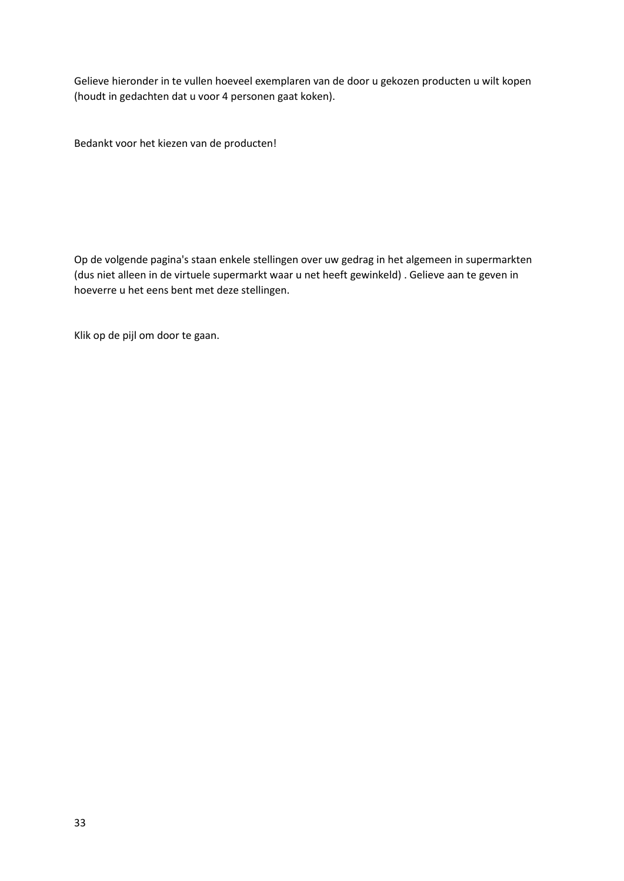Gelieve hieronder in te vullen hoeveel exemplaren van de door u gekozen producten u wilt kopen (houdt in gedachten dat u voor 4 personen gaat koken).

Bedankt voor het kiezen van de producten!

Op de volgende pagina's staan enkele stellingen over uw gedrag in het algemeen in supermarkten (dus niet alleen in de virtuele supermarkt waar u net heeft gewinkeld) . Gelieve aan te geven in hoeverre u het eens bent met deze stellingen.

Klik op de pijl om door te gaan.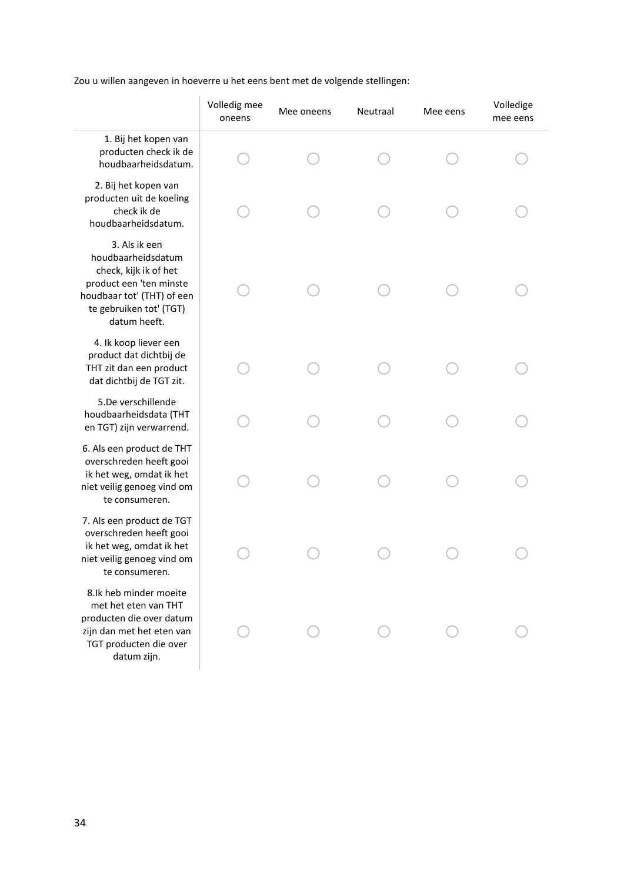Zou u willen aangeven in hoeverre u het eens bent met de volgende stellingen:

|                                                                                                                                                                  | Volledig mee<br>oneens | Mee oneens | Neutraal | Mee eens | Volledige<br>mee eens |
|------------------------------------------------------------------------------------------------------------------------------------------------------------------|------------------------|------------|----------|----------|-----------------------|
| 1. Bij het kopen van<br>producten check ik de<br>houdbaarheidsdatum.                                                                                             |                        |            |          |          |                       |
| 2. Bij het kopen van<br>producten uit de koeling<br>check ik de<br>houdbaarheidsdatum.                                                                           |                        |            |          |          |                       |
| 3. Als ik een<br>houdbaarheidsdatum<br>check, kijk ik of het<br>product een 'ten minste<br>houdbaar tot' (THT) of een<br>te gebruiken tot' (TGT)<br>datum heeft. |                        |            |          |          |                       |
| 4. Ik koop liever een<br>product dat dichtbij de<br>THT zit dan een product<br>dat dichtbij de TGT zit.                                                          |                        |            |          |          |                       |
| 5.De verschillende<br>houdbaarheidsdata (THT<br>en TGT) zijn verwarrend.                                                                                         |                        |            |          |          |                       |
| 6. Als een product de THT<br>overschreden heeft gooi<br>ik het weg, omdat ik het<br>niet veilig genoeg vind om<br>te consumeren.                                 |                        |            |          |          |                       |
| 7. Als een product de TGT<br>overschreden heeft gooi<br>ik het weg, omdat ik het<br>niet veilig genoeg vind om<br>te consumeren.                                 |                        |            |          |          |                       |
| 8.Ik heb minder moeite<br>met het eten van THT<br>producten die over datum<br>zijn dan met het eten van<br>TGT producten die over<br>datum zijn.                 |                        |            |          |          |                       |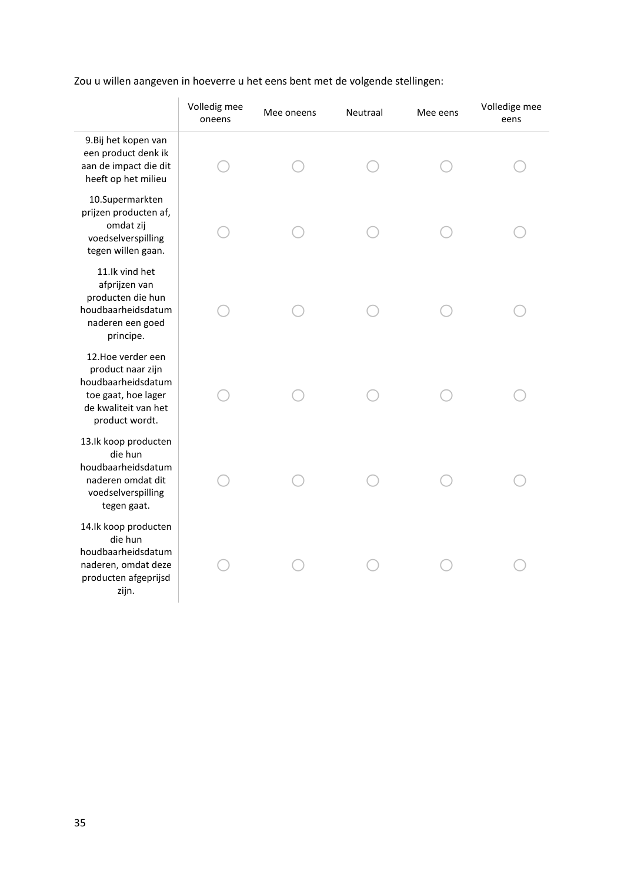# Zou u willen aangeven in hoeverre u het eens bent met de volgende stellingen:

|                                                                                                                                | Volledig mee<br>oneens | Mee oneens | Neutraal | Mee eens | Volledige mee<br>eens |
|--------------------------------------------------------------------------------------------------------------------------------|------------------------|------------|----------|----------|-----------------------|
| 9. Bij het kopen van<br>een product denk ik<br>aan de impact die dit<br>heeft op het milieu                                    |                        |            |          |          |                       |
| 10.Supermarkten<br>prijzen producten af,<br>omdat zij<br>voedselverspilling<br>tegen willen gaan.                              |                        |            |          |          |                       |
| 11.Ik vind het<br>afprijzen van<br>producten die hun<br>houdbaarheidsdatum<br>naderen een goed<br>principe.                    |                        |            |          |          |                       |
| 12. Hoe verder een<br>product naar zijn<br>houdbaarheidsdatum<br>toe gaat, hoe lager<br>de kwaliteit van het<br>product wordt. |                        |            |          |          |                       |
| 13.Ik koop producten<br>die hun<br>houdbaarheidsdatum<br>naderen omdat dit<br>voedselverspilling<br>tegen gaat.                |                        |            |          |          |                       |
| 14.Ik koop producten<br>die hun<br>houdbaarheidsdatum<br>naderen, omdat deze<br>producten afgeprijsd<br>zijn.                  |                        |            |          |          |                       |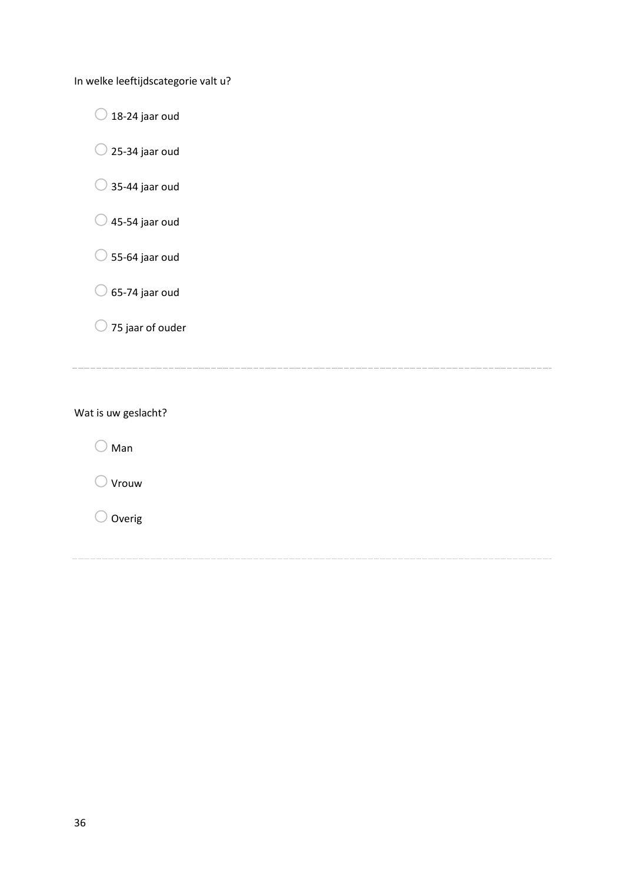In welke leeftijdscategorie valt u?

 $\bigcirc$  18-24 jaar oud

 $\bigcirc$  25-34 jaar oud

 $\bigcirc$  35-44 jaar oud

 $\bigcirc$  45-54 jaar oud

 $\bigcirc$  55-64 jaar oud

 $\bigcirc$  65-74 jaar oud

 $\bigcirc$  75 jaar of ouder

Wat is uw geslacht?

 $\bigcirc$  Man

 $\bigcirc$  Vrouw

 $\bigcirc$  Overig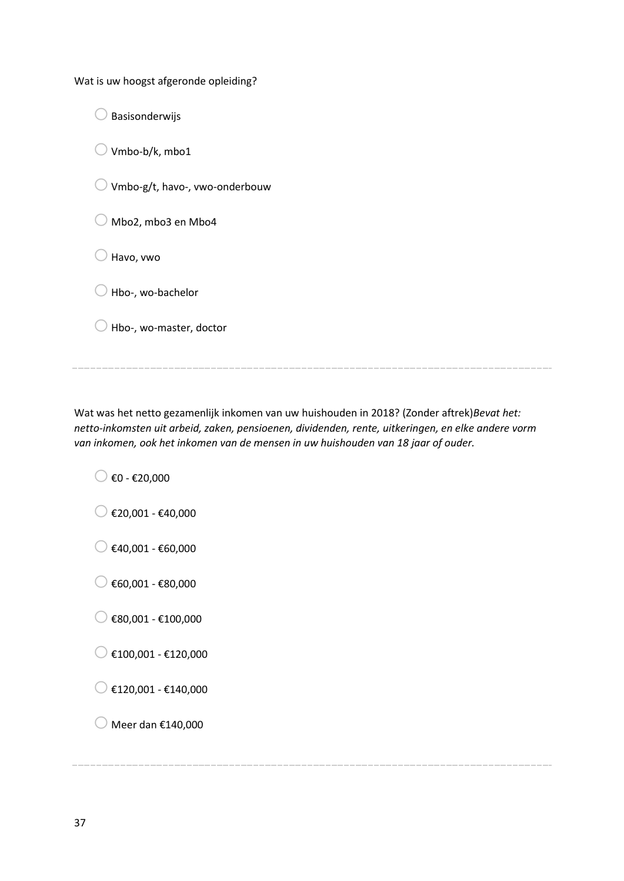Wat is uw hoogst afgeronde opleiding?

 $\bigcirc$  Basisonderwijs  $\bigcirc$  Vmbo-b/k, mbo1  $\bigcirc$  Vmbo-g/t, havo-, vwo-onderbouw  $\bigcirc$  Mbo2, mbo3 en Mbo4  $\bigcirc$  Havo, vwo  $\bigcirc$  Hbo-, wo-bachelor  $\bigcirc$  Hbo-, wo-master, doctor

Wat was het netto gezamenlijk inkomen van uw huishouden in 2018? (Zonder aftrek)*Bevat het: netto-inkomsten uit arbeid, zaken, pensioenen, dividenden, rente, uitkeringen, en elke andere vorm van inkomen, ook het inkomen van de mensen in uw huishouden van 18 jaar of ouder.*

 $\bigcirc$   $\epsilon$ 0 -  $\epsilon$ 20,000

- $\bigcirc$  €20,001 €40,000
- $\bigcirc$  €40,001 €60,000

 $\bigcirc$  €60,001 - €80,000

- $\bigcirc$  €80,001 €100,000
- $\bigcirc$  €100,001 €120,000

 $\bigcirc$  €120,001 - €140,000

 $\bigcirc$  Meer dan €140,000